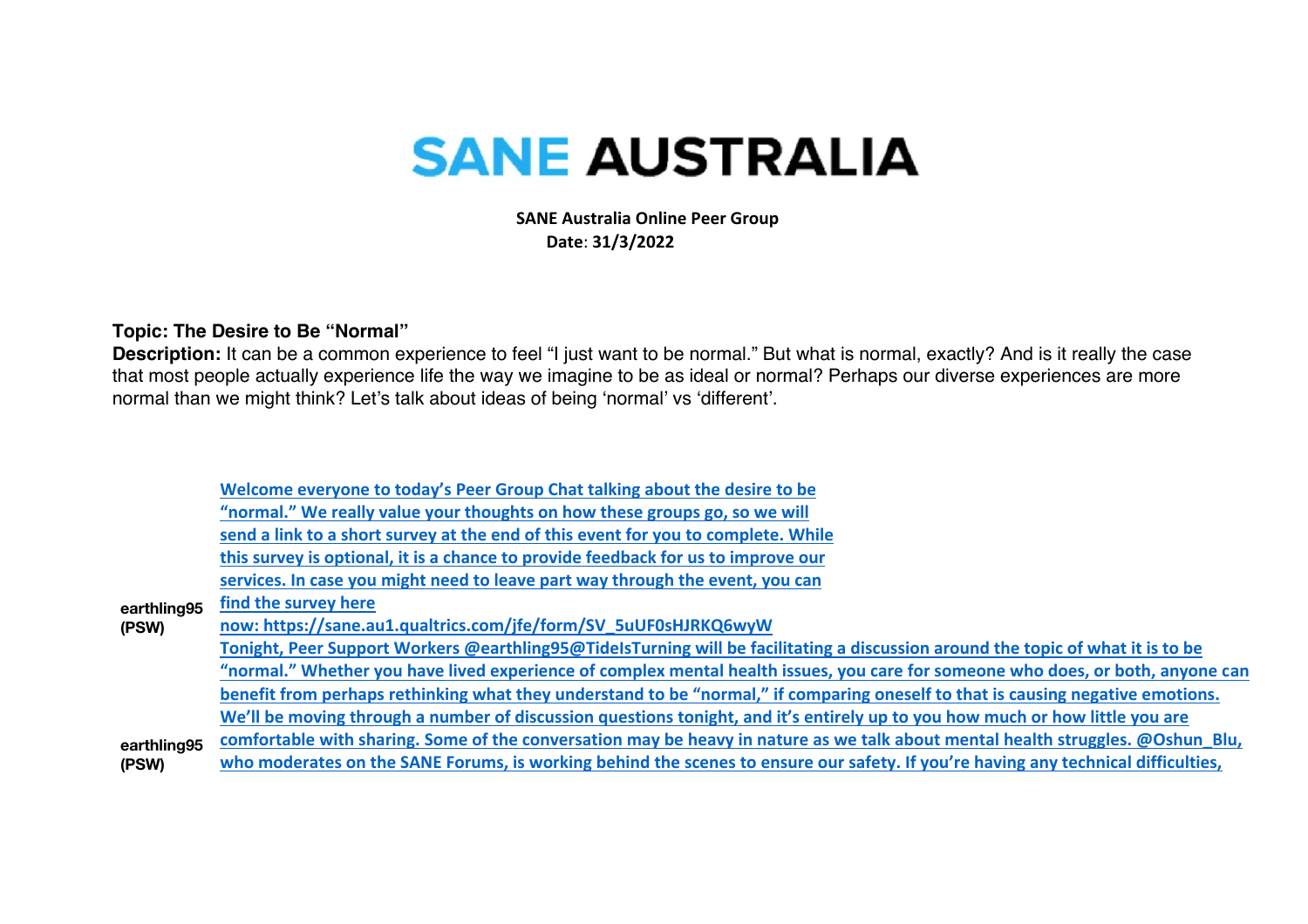## **SANE AUSTRALIA**

 **SANE Australia Online Peer Group Date**: **31/3/2022**

## **Topic: The Desire to Be "Normal"**

**Description:** It can be a common experience to feel "I just want to be normal." But what is normal, exactly? And is it really the case that most people actually experience life the way we imagine to be as ideal or normal? Perhaps our diverse experiences are more normal than we might think? Let's talk about ideas of being 'normal' vs 'different'.

|             | Welcome everyone to today's Peer Group Chat talking about the desire to be                                                        |
|-------------|-----------------------------------------------------------------------------------------------------------------------------------|
|             | "normal." We really value your thoughts on how these groups go, so we will                                                        |
|             | send a link to a short survey at the end of this event for you to complete. While                                                 |
|             | this survey is optional, it is a chance to provide feedback for us to improve our                                                 |
|             | services. In case you might need to leave part way through the event, you can                                                     |
| earthling95 | find the survey here                                                                                                              |
| (PSW)       | now: https://sane.au1.qualtrics.com/jfe/form/SV 5uUF0sHJRKQ6wyW                                                                   |
|             | Tonight, Peer Support Workers @earthling95@TidelsTurning will be facilitating a discussion around the topic of what it is to be   |
|             | "normal." Whether you have lived experience of complex mental health issues, you care for someone who does, or both, anyone can   |
|             | benefit from perhaps rethinking what they understand to be "normal," if comparing oneself to that is causing negative emotions.   |
|             | We'll be moving through a number of discussion questions tonight, and it's entirely up to you how much or how little you are      |
| earthling95 | comfortable with sharing. Some of the conversation may be heavy in nature as we talk about mental health struggles. @Oshun_Blu,   |
| (PSW)       | who moderates on the SANE Forums, is working behind the scenes to ensure our safety. If you're having any technical difficulties, |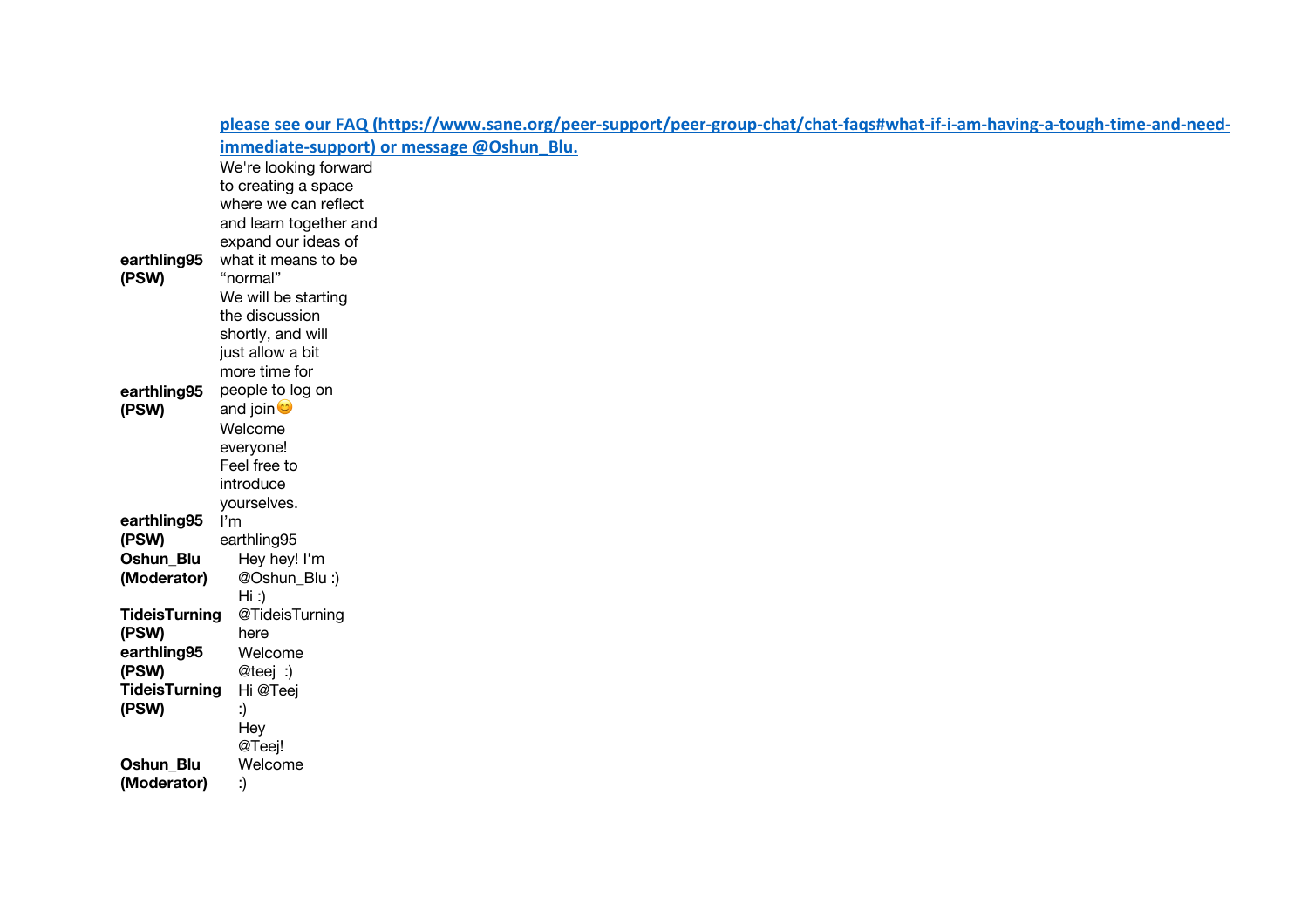|                      | please see our FAQ (https://www.sane.org/peer-support/peer-group-chat/chat-faqs#what-if-i-am-having-a-tough-time-and-need- |
|----------------------|----------------------------------------------------------------------------------------------------------------------------|
|                      | immediate-support) or message @Oshun Blu.                                                                                  |
|                      | We're looking forward                                                                                                      |
|                      | to creating a space                                                                                                        |
|                      | where we can reflect                                                                                                       |
|                      | and learn together and                                                                                                     |
|                      | expand our ideas of                                                                                                        |
| earthling95          | what it means to be                                                                                                        |
| (PSW)                | "normal"                                                                                                                   |
|                      | We will be starting                                                                                                        |
|                      | the discussion                                                                                                             |
|                      | shortly, and will                                                                                                          |
|                      | just allow a bit                                                                                                           |
|                      | more time for                                                                                                              |
| earthling95          | people to log on                                                                                                           |
| (PSW)                | and join $\bullet$                                                                                                         |
|                      | Welcome                                                                                                                    |
|                      | everyone!                                                                                                                  |
|                      | Feel free to                                                                                                               |
|                      | introduce                                                                                                                  |
|                      | yourselves.                                                                                                                |
| earthling95          | l'm                                                                                                                        |
| (PSW)                | earthling95                                                                                                                |
| Oshun_Blu            | Hey hey! I'm                                                                                                               |
| (Moderator)          | @Oshun_Blu :)<br>Hi:                                                                                                       |
| <b>TideisTurning</b> | @TideisTurning                                                                                                             |
| (PSW)                | here                                                                                                                       |
| earthling95          | Welcome                                                                                                                    |
| (PSW)                | @teej :)                                                                                                                   |
| <b>TideisTurning</b> | Hi @Teej                                                                                                                   |
| (PSW)                | :)                                                                                                                         |
|                      | Hey                                                                                                                        |
|                      | @Teej!                                                                                                                     |
| Oshun_Blu            | Welcome                                                                                                                    |
| (Moderator)          | :)                                                                                                                         |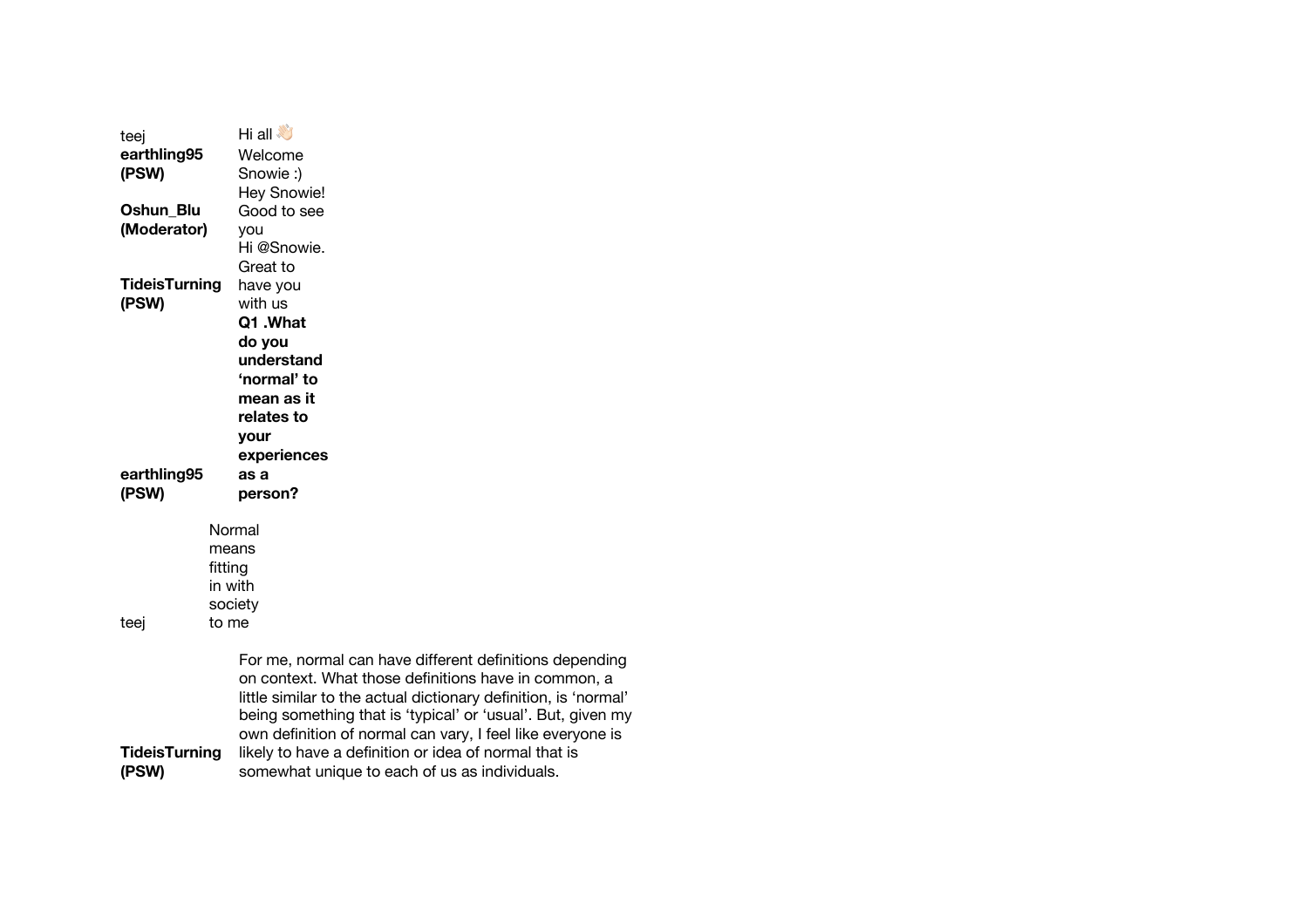| teej<br>earthling95<br>(PSW)             | Hi all $\ddot{\ddot{\mathbf{u}}}$<br>Welcome<br>Snowie:)<br>Hey Snowie!                                                                                                                                                                                                                                                                                                  |
|------------------------------------------|--------------------------------------------------------------------------------------------------------------------------------------------------------------------------------------------------------------------------------------------------------------------------------------------------------------------------------------------------------------------------|
| Oshun Blu<br>(Moderator)                 | Good to see<br>vou<br>Hi @Snowie.                                                                                                                                                                                                                                                                                                                                        |
| <b>TideisTurning</b><br>(PSW)            | Great to<br>have you<br>with us<br>Q1.What<br>do you<br>understand<br>'normal' to<br>mean as it<br>relates to<br>your                                                                                                                                                                                                                                                    |
| earthling95<br>(PSW)                     | experiences<br>as a<br>person?                                                                                                                                                                                                                                                                                                                                           |
| fitting<br>teej<br>to me                 | Normal<br>means<br>in with<br>society                                                                                                                                                                                                                                                                                                                                    |
| <b>TideisTurning</b><br>$/$ DC $\lambda$ | For me, normal can have different definitions depending<br>on context. What those definitions have in common, a<br>little similar to the actual dictionary definition, is 'normal'<br>being something that is 'typical' or 'usual'. But, given my<br>own definition of normal can vary, I feel like everyone is<br>likely to have a definition or idea of normal that is |

**(PSW)** somewhat unique to each of us as individuals.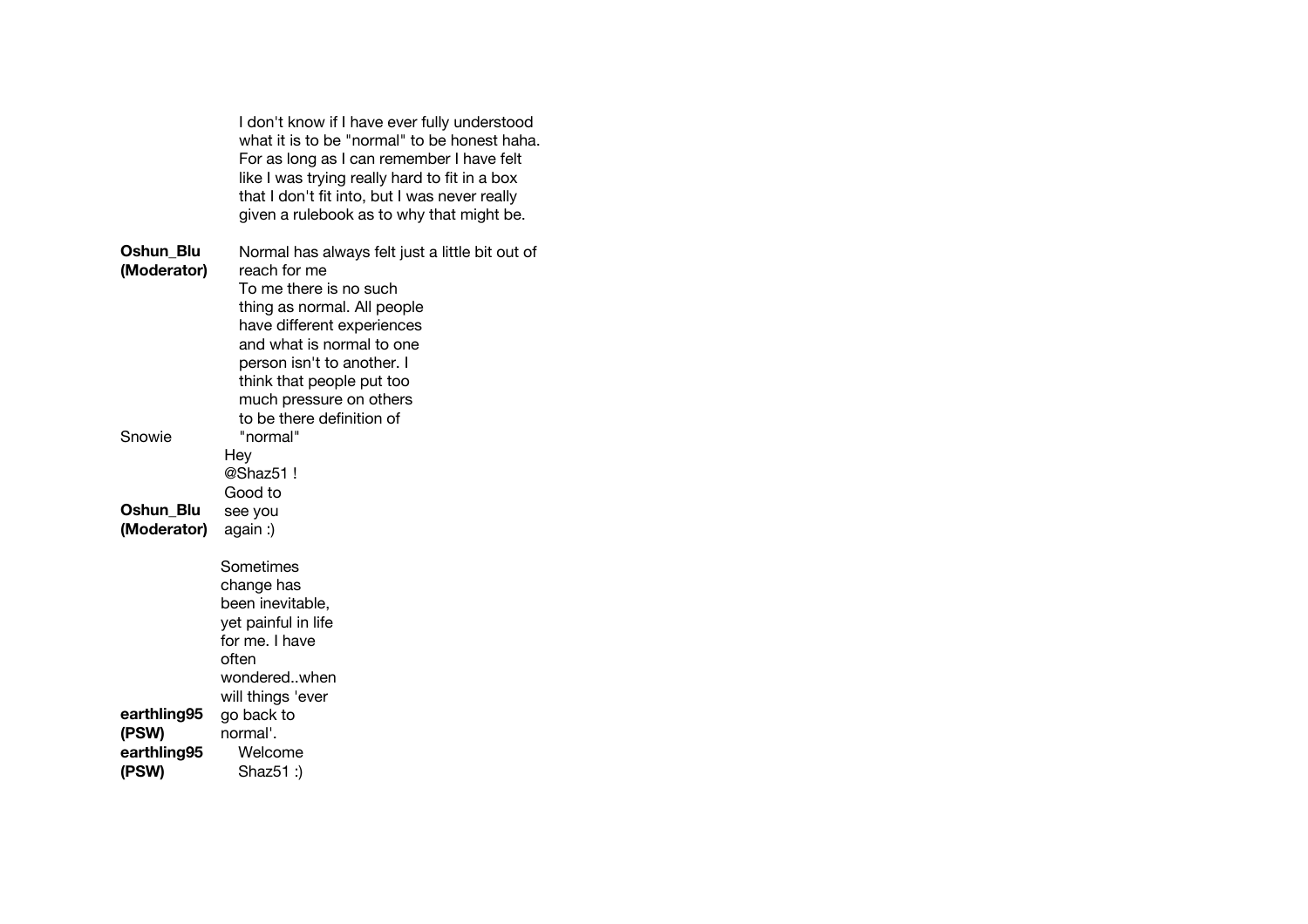|             | I don't know if I have ever fully understood<br>what it is to be "normal" to be honest haha.<br>For as long as I can remember I have felt<br>like I was trying really hard to fit in a box<br>that I don't fit into, but I was never really<br>given a rulebook as to why that might be. |
|-------------|------------------------------------------------------------------------------------------------------------------------------------------------------------------------------------------------------------------------------------------------------------------------------------------|
| Oshun_Blu   | Normal has always felt just a little bit out of                                                                                                                                                                                                                                          |
| (Moderator) | reach for me                                                                                                                                                                                                                                                                             |
|             | To me there is no such                                                                                                                                                                                                                                                                   |
|             | thing as normal. All people                                                                                                                                                                                                                                                              |
|             | have different experiences                                                                                                                                                                                                                                                               |
|             | and what is normal to one                                                                                                                                                                                                                                                                |
|             | person isn't to another. I                                                                                                                                                                                                                                                               |
|             | think that people put too                                                                                                                                                                                                                                                                |
|             | much pressure on others                                                                                                                                                                                                                                                                  |
| Snowie      | to be there definition of<br>"normal"                                                                                                                                                                                                                                                    |
|             | Hey                                                                                                                                                                                                                                                                                      |
|             | @Shaz51!                                                                                                                                                                                                                                                                                 |
|             | Good to                                                                                                                                                                                                                                                                                  |
| Oshun Blu   | see you                                                                                                                                                                                                                                                                                  |
| (Moderator) | again :)                                                                                                                                                                                                                                                                                 |
|             |                                                                                                                                                                                                                                                                                          |
|             | Sometimes                                                                                                                                                                                                                                                                                |
|             | change has                                                                                                                                                                                                                                                                               |
|             | been inevitable,                                                                                                                                                                                                                                                                         |
|             | yet painful in life                                                                                                                                                                                                                                                                      |
|             | for me. I have                                                                                                                                                                                                                                                                           |
|             | often                                                                                                                                                                                                                                                                                    |
|             | wonderedwhen                                                                                                                                                                                                                                                                             |
|             | will things 'ever                                                                                                                                                                                                                                                                        |
| earthling95 | go back to                                                                                                                                                                                                                                                                               |
| (PSW)       | normal'.                                                                                                                                                                                                                                                                                 |
| earthling95 | Welcome                                                                                                                                                                                                                                                                                  |
| (PSW)       | Shaz51 :)                                                                                                                                                                                                                                                                                |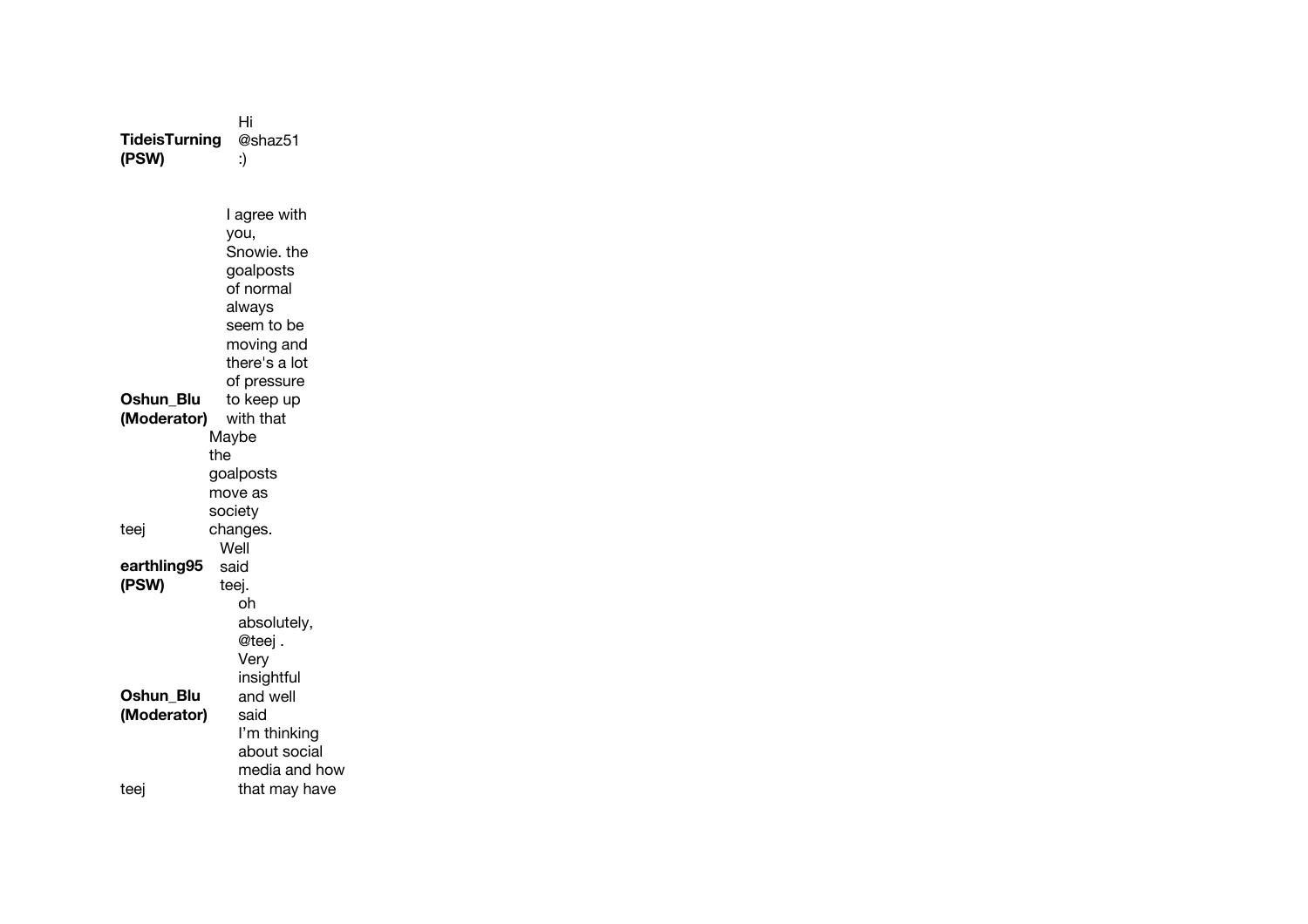| <b>TideisTurning</b><br>(PSW) | Hi<br>@shaz51<br>:)     |
|-------------------------------|-------------------------|
|                               | I agree with<br>you,    |
|                               | Snowie. the             |
|                               | goalposts               |
|                               | of normal               |
|                               | always                  |
|                               | seem to be              |
|                               | moving and              |
|                               | there's a lot           |
|                               | of pressure             |
| Oshun Blu                     | to keep up<br>with that |
| (Moderator)                   | Maybe                   |
| the                           |                         |
|                               | goalposts               |
|                               | move as                 |
|                               | society                 |
| teej                          | changes.                |
|                               | Well                    |
| earthling95                   | said                    |
| (PSW)                         | teej.                   |
|                               | oh                      |
|                               | absolutely,             |
|                               | @teej.                  |
|                               | Very                    |
| Oshun Blu                     | insightful<br>and well  |
| (Moderator)                   | said                    |
|                               | I'm thinking            |
|                               | about social            |
|                               | media and how           |
| teej                          | that may have           |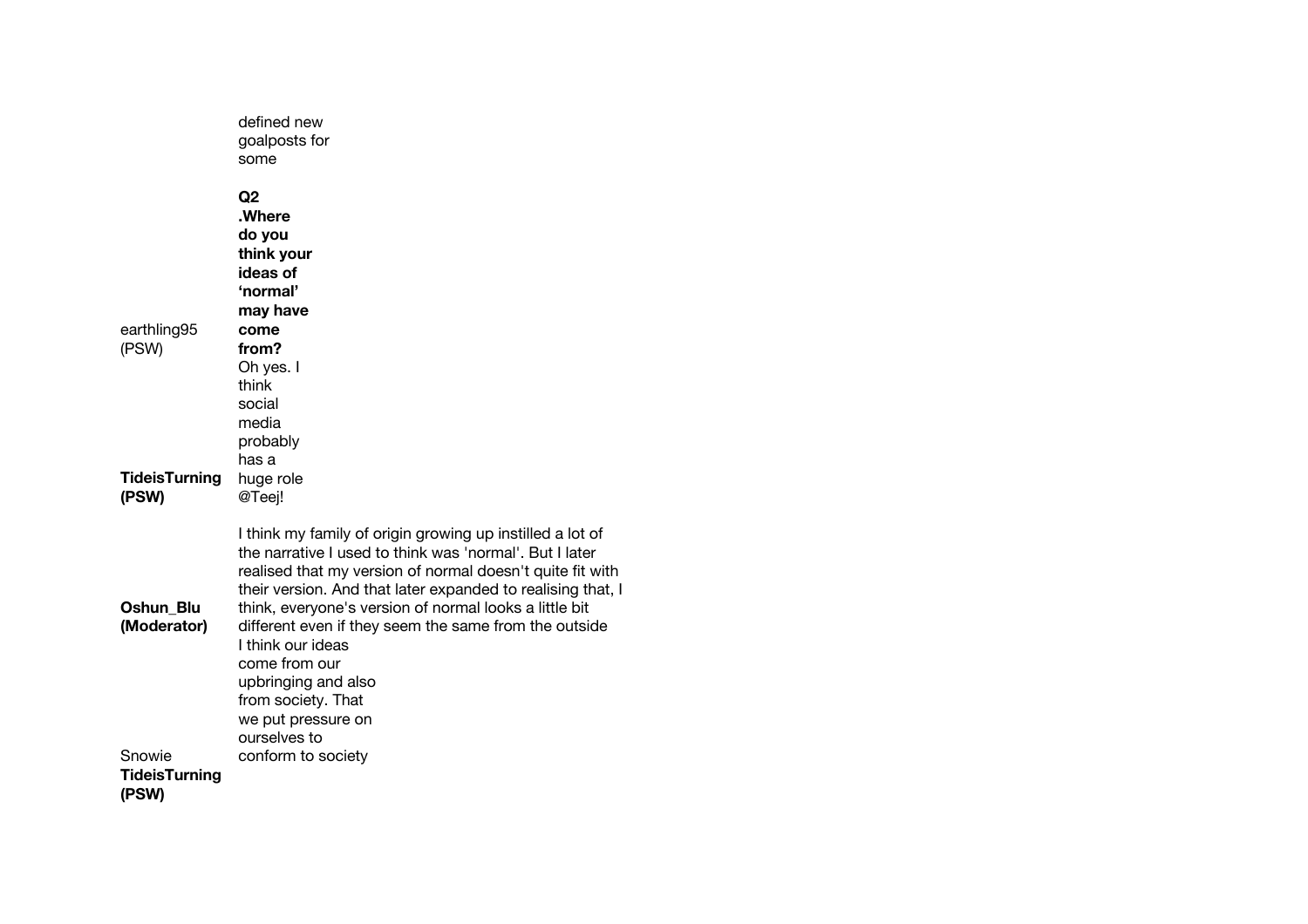|                                         | defined new<br>goalposts for<br>some                                                                                                                                                                                                                                                                                                                                                                                                                                                         |
|-----------------------------------------|----------------------------------------------------------------------------------------------------------------------------------------------------------------------------------------------------------------------------------------------------------------------------------------------------------------------------------------------------------------------------------------------------------------------------------------------------------------------------------------------|
| earthling95<br>(PSW)                    | Q <sub>2</sub><br>.Where<br>do you<br>think your<br>ideas of<br>'normal'<br>may have<br>come<br>from?<br>Oh yes. I<br>think<br>social<br>media<br>probably<br>has a                                                                                                                                                                                                                                                                                                                          |
| <b>TideisTurning</b><br>(PSW)           | huge role<br>@Teej!                                                                                                                                                                                                                                                                                                                                                                                                                                                                          |
| <b>Oshun Blu</b><br>(Moderator)         | I think my family of origin growing up instilled a lot of<br>the narrative I used to think was 'normal'. But I later<br>realised that my version of normal doesn't quite fit with<br>their version. And that later expanded to realising that, I<br>think, everyone's version of normal looks a little bit<br>different even if they seem the same from the outside<br>I think our ideas<br>come from our<br>upbringing and also<br>from society. That<br>we put pressure on<br>ourselves to |
| Snowie<br><b>TideisTurning</b><br>(PSW) | conform to society                                                                                                                                                                                                                                                                                                                                                                                                                                                                           |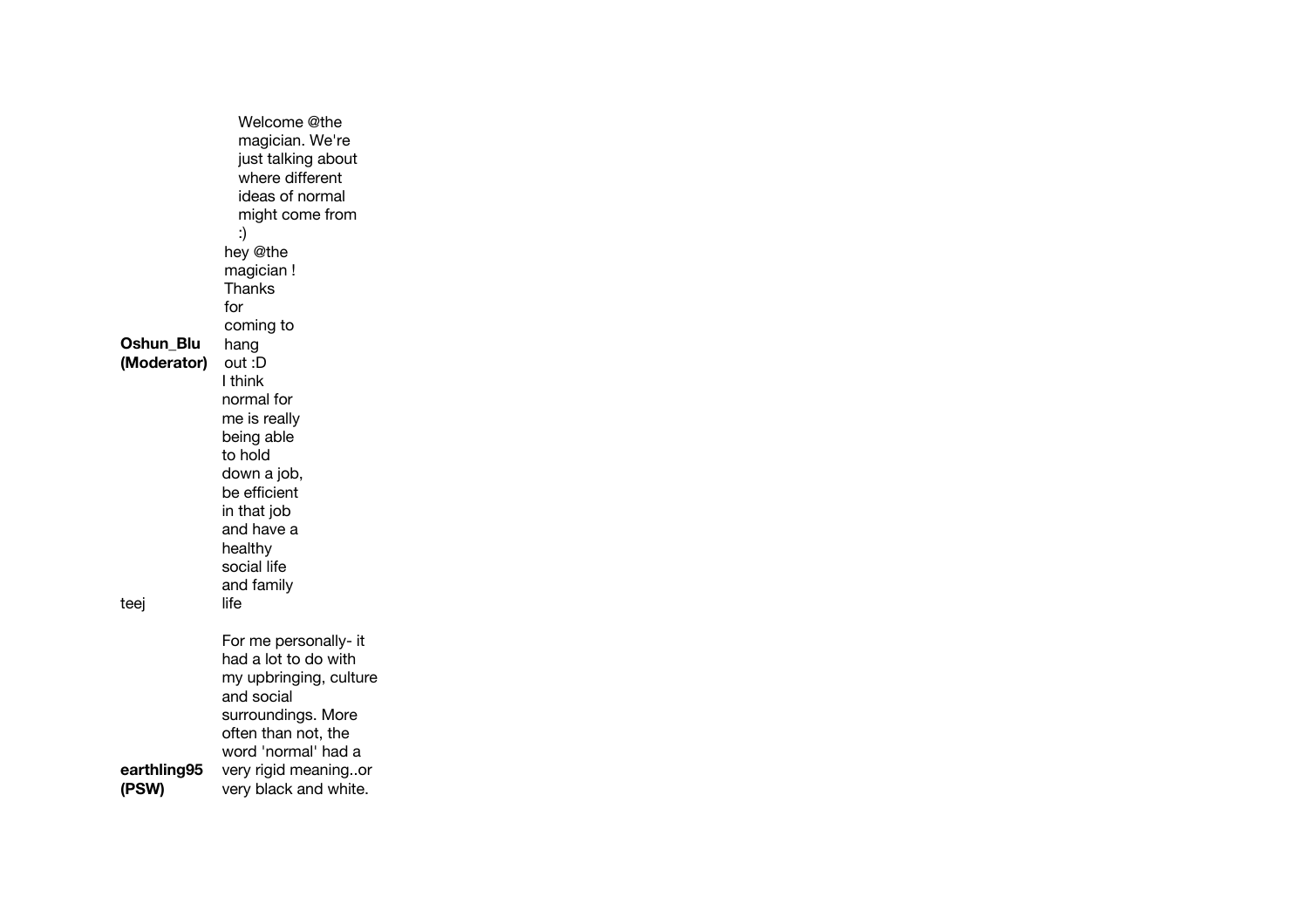|                      | Welcome @the<br>magician. We're<br>just talking about<br>where different<br>ideas of normal<br>might come from<br>:)<br>hey @the<br>magician!<br>Thanks<br>for<br>coming to |
|----------------------|-----------------------------------------------------------------------------------------------------------------------------------------------------------------------------|
| Oshun_Blu            | hang                                                                                                                                                                        |
| (Moderator)          | out :D<br>I think                                                                                                                                                           |
|                      | normal for                                                                                                                                                                  |
|                      | me is really                                                                                                                                                                |
|                      | being able                                                                                                                                                                  |
|                      | to hold                                                                                                                                                                     |
|                      | down a job,                                                                                                                                                                 |
|                      | be efficient                                                                                                                                                                |
|                      | in that job<br>and have a                                                                                                                                                   |
|                      | healthy                                                                                                                                                                     |
|                      | social life                                                                                                                                                                 |
|                      | and family                                                                                                                                                                  |
| teej                 | life                                                                                                                                                                        |
|                      | For me personally- it                                                                                                                                                       |
|                      | had a lot to do with<br>my upbringing, culture                                                                                                                              |
|                      | and social                                                                                                                                                                  |
|                      | surroundings. More                                                                                                                                                          |
|                      | often than not, the                                                                                                                                                         |
|                      | word 'normal' had a                                                                                                                                                         |
| earthling95<br>(PSW) | very rigid meaningor<br>very black and white.                                                                                                                               |
|                      |                                                                                                                                                                             |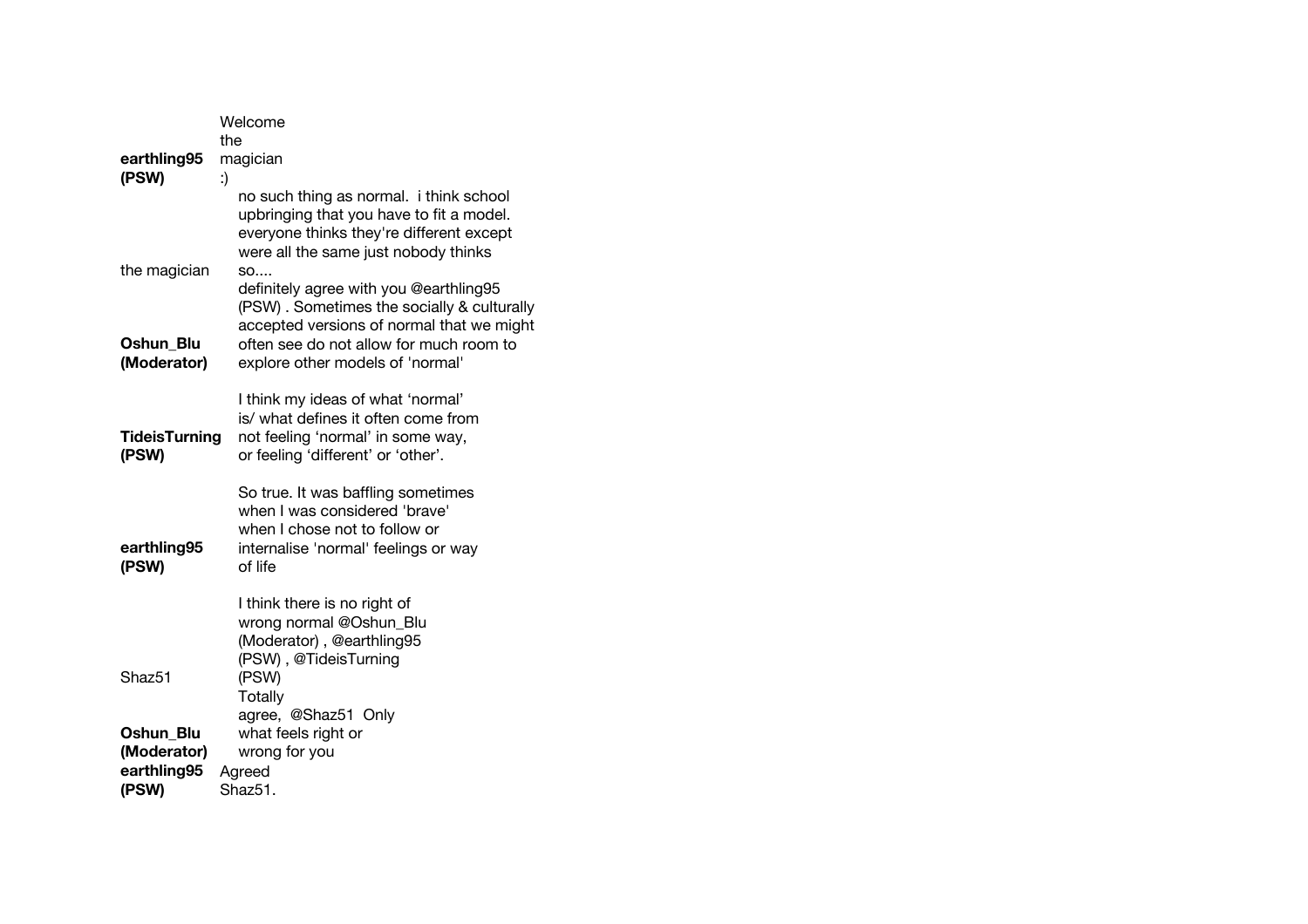|                               | Welcome                                                                                                                                                                       |  |
|-------------------------------|-------------------------------------------------------------------------------------------------------------------------------------------------------------------------------|--|
|                               | the                                                                                                                                                                           |  |
| earthling95                   | magician                                                                                                                                                                      |  |
| (PSW)                         | :)                                                                                                                                                                            |  |
|                               | no such thing as normal. i think school<br>upbringing that you have to fit a model.<br>everyone thinks they're different except<br>were all the same just nobody thinks<br>SO |  |
| the magician                  | definitely agree with you @earthling95<br>(PSW). Sometimes the socially & culturally<br>accepted versions of normal that we might                                             |  |
| Oshun_Blu<br>(Moderator)      | often see do not allow for much room to<br>explore other models of 'normal'                                                                                                   |  |
| <b>TideisTurning</b><br>(PSW) | I think my ideas of what 'normal'<br>is/ what defines it often come from<br>not feeling 'normal' in some way,<br>or feeling 'different' or 'other'.                           |  |
| earthling95<br>(PSW)          | So true. It was baffling sometimes<br>when I was considered 'brave'<br>when I chose not to follow or<br>internalise 'normal' feelings or way<br>of life                       |  |
|                               | I think there is no right of<br>wrong normal @Oshun_Blu<br>(Moderator), @earthling95<br>(PSW), @TideisTurning                                                                 |  |
| Shaz51                        | (PSW)<br>Totally                                                                                                                                                              |  |
|                               | agree, @Shaz51 Only                                                                                                                                                           |  |
| Oshun Blu                     | what feels right or                                                                                                                                                           |  |
| (Moderator)                   | wrong for you                                                                                                                                                                 |  |
| earthling95                   | Agreed                                                                                                                                                                        |  |
| (PSW)                         | Shaz51.                                                                                                                                                                       |  |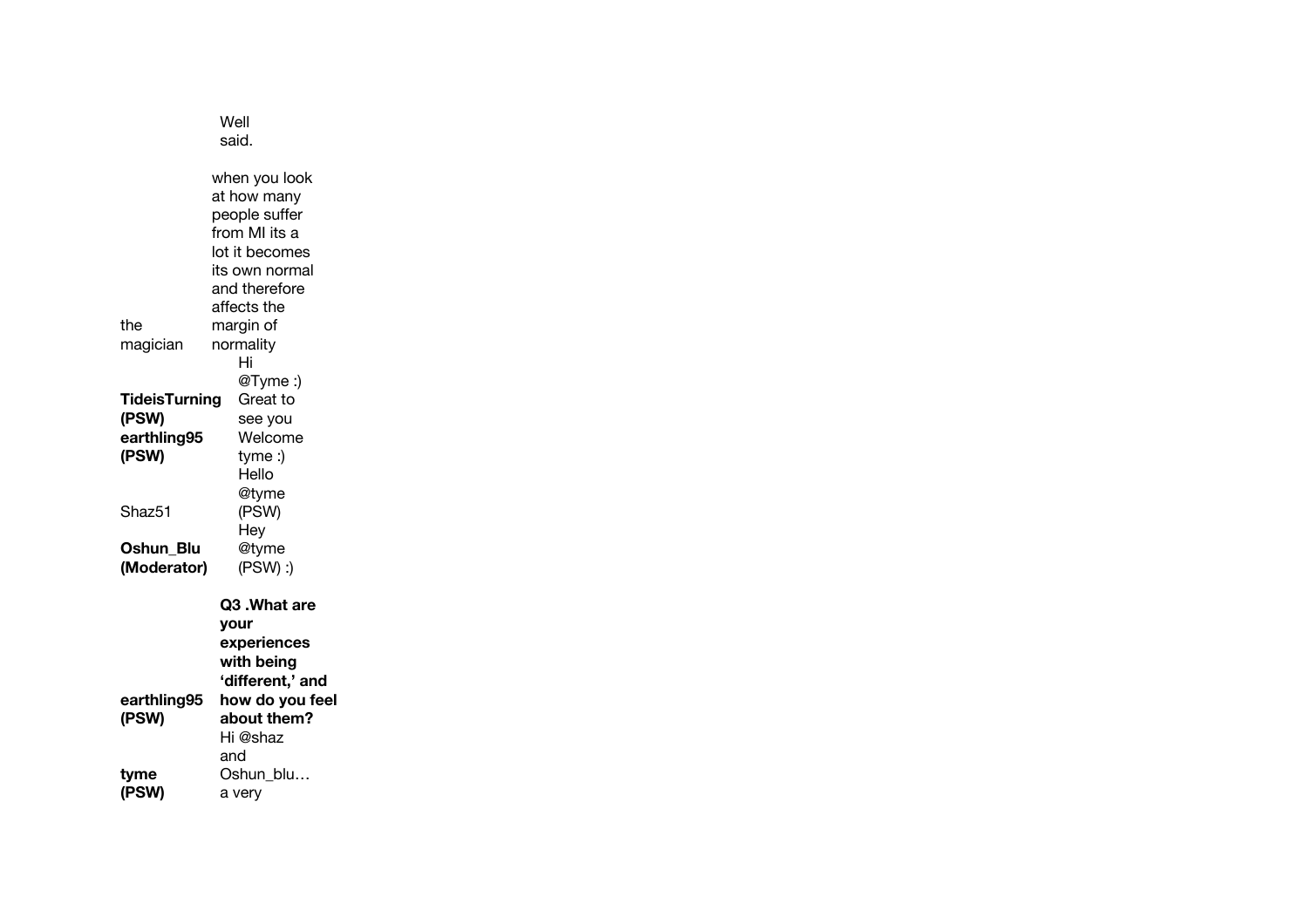|                      | Well             |
|----------------------|------------------|
|                      | said.            |
|                      |                  |
|                      | when you look    |
|                      | at how many      |
|                      | people suffer    |
|                      | from MI its a    |
|                      | lot it becomes   |
|                      | its own normal   |
|                      | and therefore    |
|                      | affects the      |
| the                  | margin of        |
| magician             | normality        |
|                      | Hi               |
|                      | @Tyme:)          |
| <b>TideisTurning</b> | Great to         |
| (PSW)                | see you          |
| earthling95          | Welcome          |
| (PSW)                | tyme:)           |
|                      | Hello            |
|                      |                  |
| Shaz51               | @tyme<br>(PSW)   |
|                      |                  |
|                      | Hey              |
| Oshun_Blu            | @tyme            |
| (Moderator)          | (PSW):           |
|                      | Q3.What are      |
|                      | your             |
|                      | experiences      |
|                      | with being       |
|                      | 'different,' and |
|                      | how do you feel  |
| earthling95          |                  |
| (PSW)                | about them?      |
|                      | Hi @shaz         |
|                      | and              |
| tyme                 | Oshun_blu        |
| (PSW)                | a very           |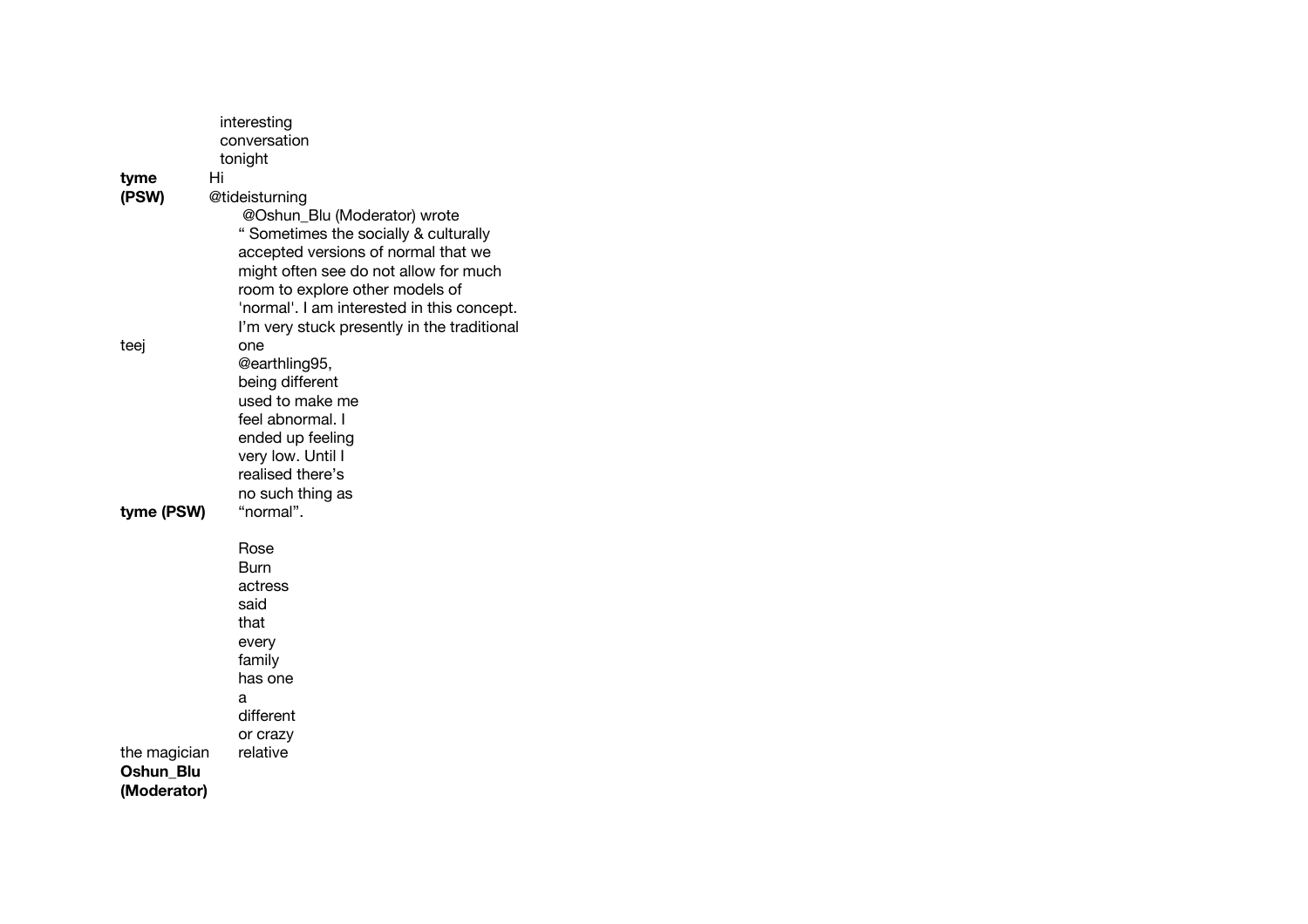|                                                 | interesting                                                                                                                                                                                                                                                                                                   |
|-------------------------------------------------|---------------------------------------------------------------------------------------------------------------------------------------------------------------------------------------------------------------------------------------------------------------------------------------------------------------|
|                                                 | conversation                                                                                                                                                                                                                                                                                                  |
|                                                 | tonight                                                                                                                                                                                                                                                                                                       |
| tyme                                            | Hi                                                                                                                                                                                                                                                                                                            |
| (PSW)                                           | @tideisturning                                                                                                                                                                                                                                                                                                |
| teej                                            | @Oshun_Blu (Moderator) wrote<br>" Sometimes the socially & culturally<br>accepted versions of normal that we<br>might often see do not allow for much<br>room to explore other models of<br>'normal'. I am interested in this concept.<br>I'm very stuck presently in the traditional<br>one<br>@earthling95, |
| tyme (PSW)                                      | being different<br>used to make me<br>feel abnormal. I<br>ended up feeling<br>very low. Until I<br>realised there's<br>no such thing as<br>"normal".                                                                                                                                                          |
|                                                 | Rose<br>Burn<br>actress<br>said<br>that<br>every<br>family<br>has one<br>a<br>different<br>or crazy                                                                                                                                                                                                           |
| the magician<br><b>Oshun Blu</b><br>(Moderator) | relative                                                                                                                                                                                                                                                                                                      |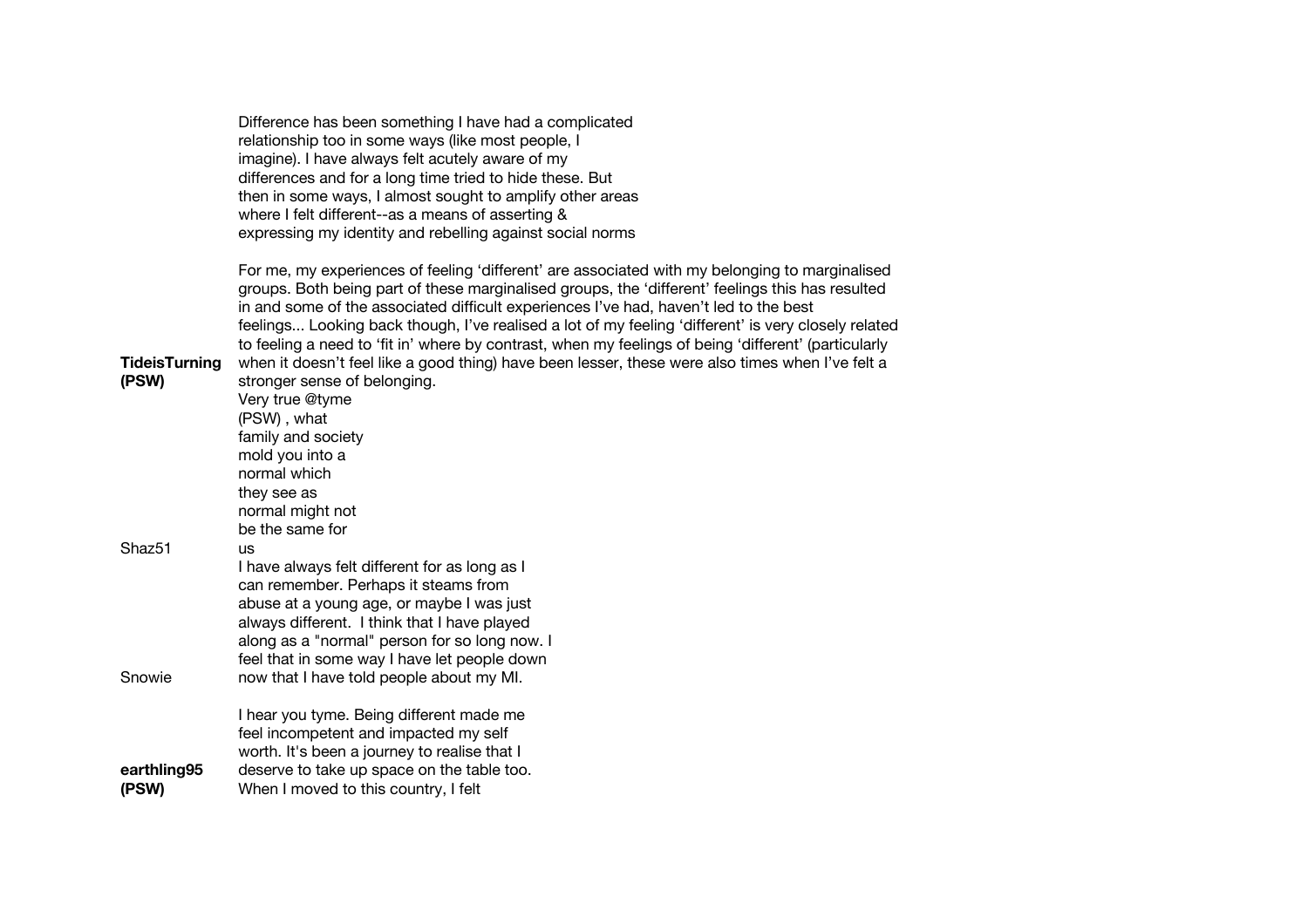|                               | Difference has been something I have had a complicated<br>relationship too in some ways (like most people, I<br>imagine). I have always felt acutely aware of my<br>differences and for a long time tried to hide these. But<br>then in some ways, I almost sought to amplify other areas<br>where I felt different--as a means of asserting &<br>expressing my identity and rebelling against social norms                                                                                                                                                                                                                                                                                                                                                                  |
|-------------------------------|------------------------------------------------------------------------------------------------------------------------------------------------------------------------------------------------------------------------------------------------------------------------------------------------------------------------------------------------------------------------------------------------------------------------------------------------------------------------------------------------------------------------------------------------------------------------------------------------------------------------------------------------------------------------------------------------------------------------------------------------------------------------------|
| <b>TideisTurning</b><br>(PSW) | For me, my experiences of feeling 'different' are associated with my belonging to marginalised<br>groups. Both being part of these marginalised groups, the 'different' feelings this has resulted<br>in and some of the associated difficult experiences I've had, haven't led to the best<br>feelings Looking back though, I've realised a lot of my feeling 'different' is very closely related<br>to feeling a need to 'fit in' where by contrast, when my feelings of being 'different' (particularly<br>when it doesn't feel like a good thing) have been lesser, these were also times when I've felt a<br>stronger sense of belonging.<br>Very true @tyme<br>(PSW), what<br>family and society<br>mold you into a<br>normal which<br>they see as<br>normal might not |
| Shaz <sub>51</sub>            | be the same for<br><b>us</b><br>I have always felt different for as long as I<br>can remember. Perhaps it steams from<br>abuse at a young age, or maybe I was just<br>always different. I think that I have played<br>along as a "normal" person for so long now. I                                                                                                                                                                                                                                                                                                                                                                                                                                                                                                          |
| Snowie                        | feel that in some way I have let people down<br>now that I have told people about my MI.<br>I hear you tyme. Being different made me<br>feel incompetent and impacted my self<br>worth. It's been a journey to realise that I                                                                                                                                                                                                                                                                                                                                                                                                                                                                                                                                                |
| earthling95<br>(PSW)          | deserve to take up space on the table too.<br>When I moved to this country, I felt                                                                                                                                                                                                                                                                                                                                                                                                                                                                                                                                                                                                                                                                                           |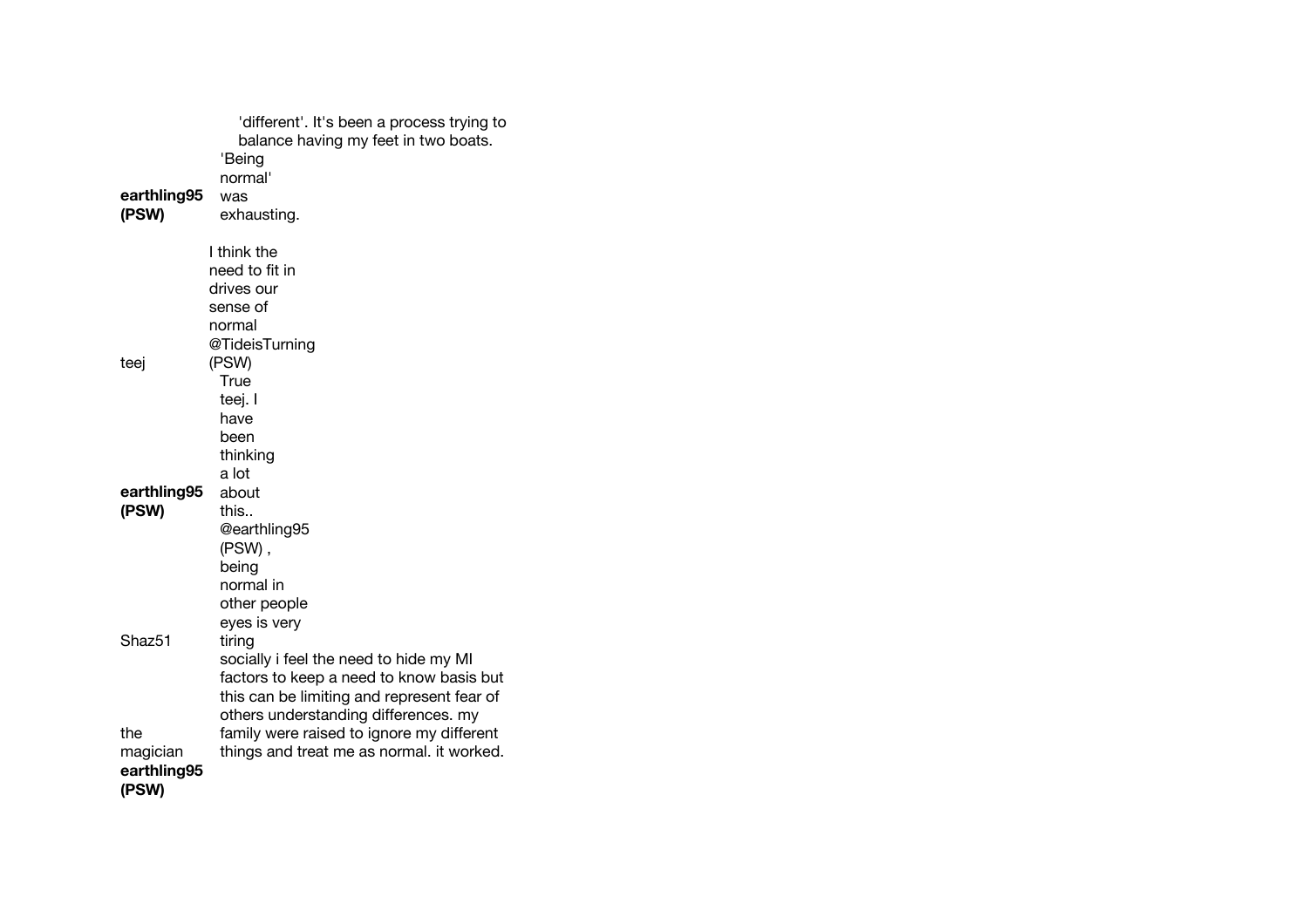|             | 'different'. It's been a process trying to |
|-------------|--------------------------------------------|
|             | balance having my feet in two boats.       |
|             | 'Being                                     |
|             | normal'                                    |
| earthling95 | was                                        |
| (PSW)       | exhausting.                                |
|             | I think the                                |
|             | need to fit in                             |
|             | drives our                                 |
|             | sense of                                   |
|             | normal                                     |
|             | @TideisTurning                             |
| teej        | (PSW)                                      |
|             | True                                       |
|             | teej. I                                    |
|             | have                                       |
|             | been                                       |
|             | thinking                                   |
|             | a lot                                      |
| earthling95 | about                                      |
| (PSW)       | this                                       |
|             | @earthling95                               |
|             | (PSW),                                     |
|             | being                                      |
|             | normal in                                  |
|             | other people                               |
|             | eyes is very                               |
| Shaz51      | tiring                                     |
|             | socially i feel the need to hide my MI     |
|             | factors to keep a need to know basis but   |
|             | this can be limiting and represent fear of |
|             | others understanding differences. my       |
| the         | family were raised to ignore my different  |
| magician    | things and treat me as normal. it worked.  |
| earthling95 |                                            |
| (PSW)       |                                            |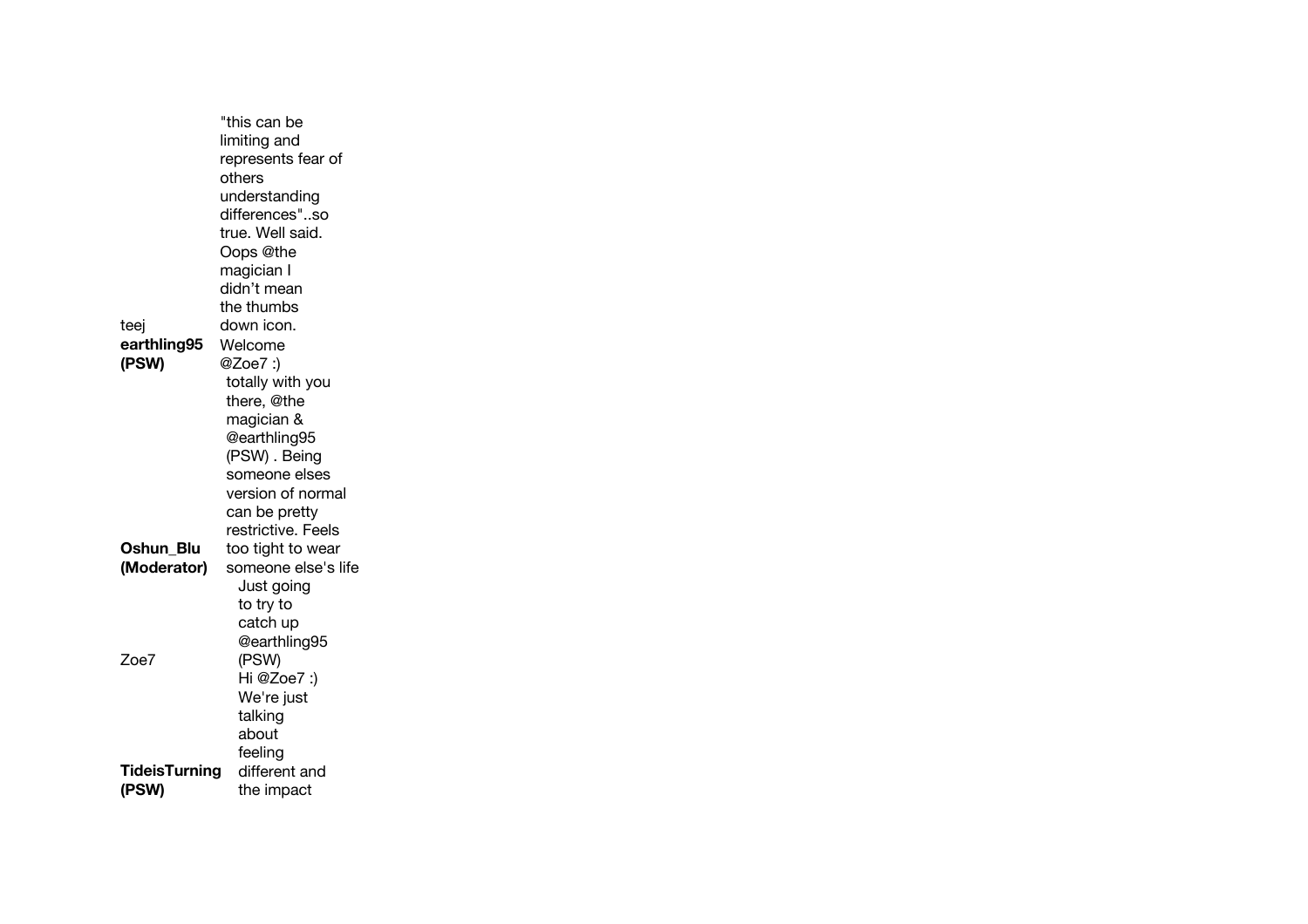|                      | "this can be        |
|----------------------|---------------------|
|                      | limiting and        |
|                      | represents fear of  |
|                      | others              |
|                      | understanding       |
|                      | differences"so      |
|                      | true. Well said.    |
|                      | Oops @the           |
|                      | magician I          |
|                      | didn't mean         |
|                      | the thumbs          |
| teej                 | down icon.          |
| earthling95          | Welcome             |
| (PSW)                | @Zoe7 :)            |
|                      | totally with you    |
|                      | there, @the         |
|                      | magician &          |
|                      | @earthling95        |
|                      | (PSW). Being        |
|                      | someone elses       |
|                      | version of normal   |
|                      | can be pretty       |
|                      | restrictive. Feels  |
| Oshun_Blu            | too tight to wear   |
| (Moderator)          | someone else's life |
|                      | Just going          |
|                      | to try to           |
|                      | catch up            |
|                      | @earthling95        |
| Zoe7                 | (PSW)               |
|                      | Hi @Zoe7 :)         |
|                      | We're just          |
|                      | talking             |
|                      | about               |
|                      | feeling             |
| <b>TideisTurning</b> | different and       |
| (PSW)                | the impact          |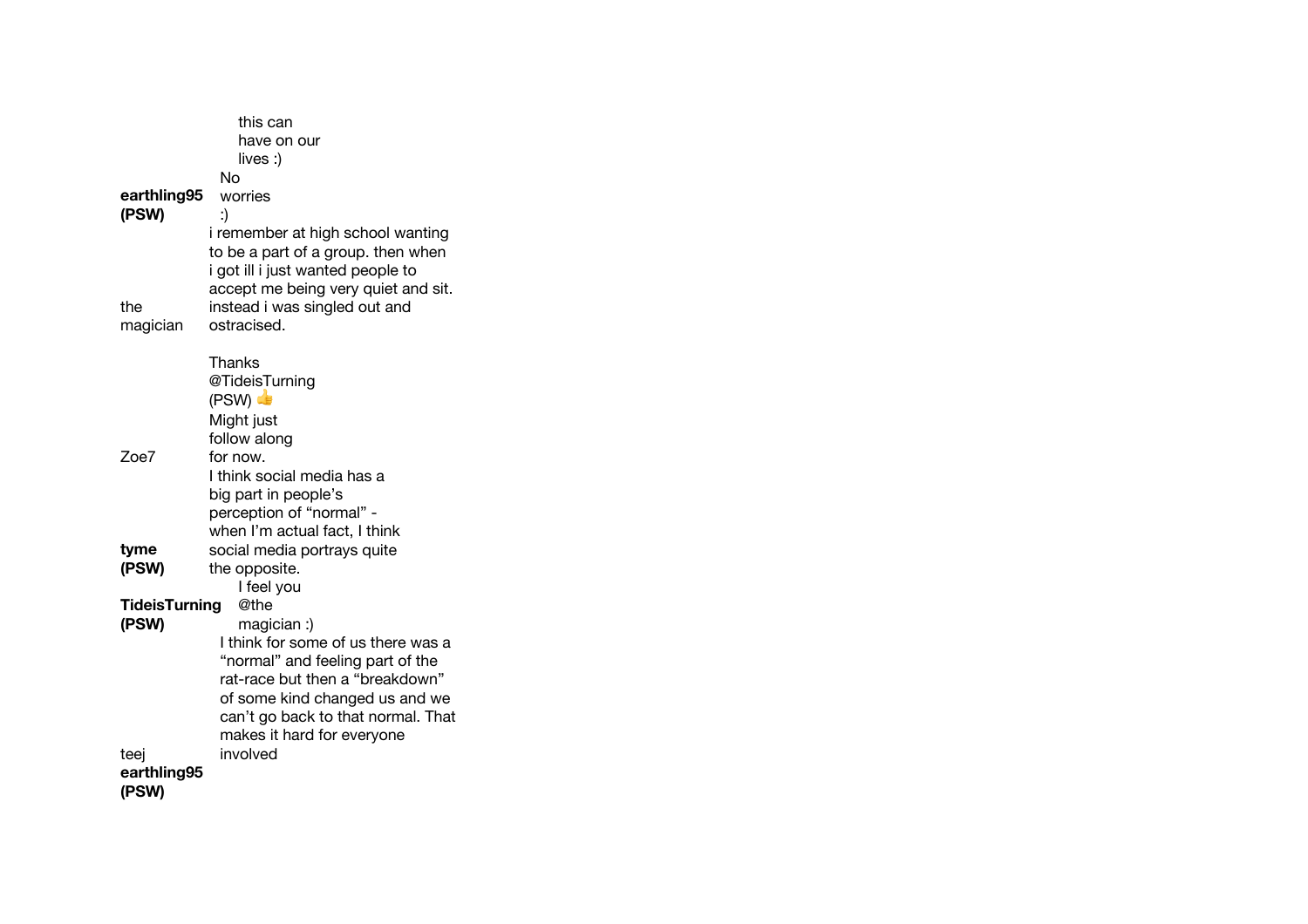|                      | this can                               |
|----------------------|----------------------------------------|
|                      | have on our                            |
|                      | lives :)                               |
|                      | N٥                                     |
| earthling95          | worries                                |
| (PSW)                | :)                                     |
|                      | i remember at high school wanting      |
|                      | to be a part of a group. then when     |
|                      | i got ill i just wanted people to      |
|                      | accept me being very quiet and sit.    |
| the                  | instead i was singled out and          |
| magician             | ostracised.                            |
|                      |                                        |
|                      | Thanks                                 |
|                      | @TideisTurning                         |
|                      | (PSW)                                  |
|                      | Might just                             |
|                      | follow along                           |
| Zoe7                 | for now.<br>I think social media has a |
|                      | big part in people's                   |
|                      | perception of "normal" -               |
|                      | when I'm actual fact, I think          |
| tyme                 | social media portrays quite            |
| (PSW)                | the opposite.                          |
|                      | I feel you                             |
| <b>TideisTurning</b> | @the                                   |
| (PSW)                | magician :)                            |
|                      | I think for some of us there was a     |
|                      | "normal" and feeling part of the       |
|                      | rat-race but then a "breakdown"        |
|                      | of some kind changed us and we         |
|                      | can't go back to that normal. That     |
|                      | makes it hard for everyone             |
| teej                 | involved                               |
| earthling95<br>(PSW) |                                        |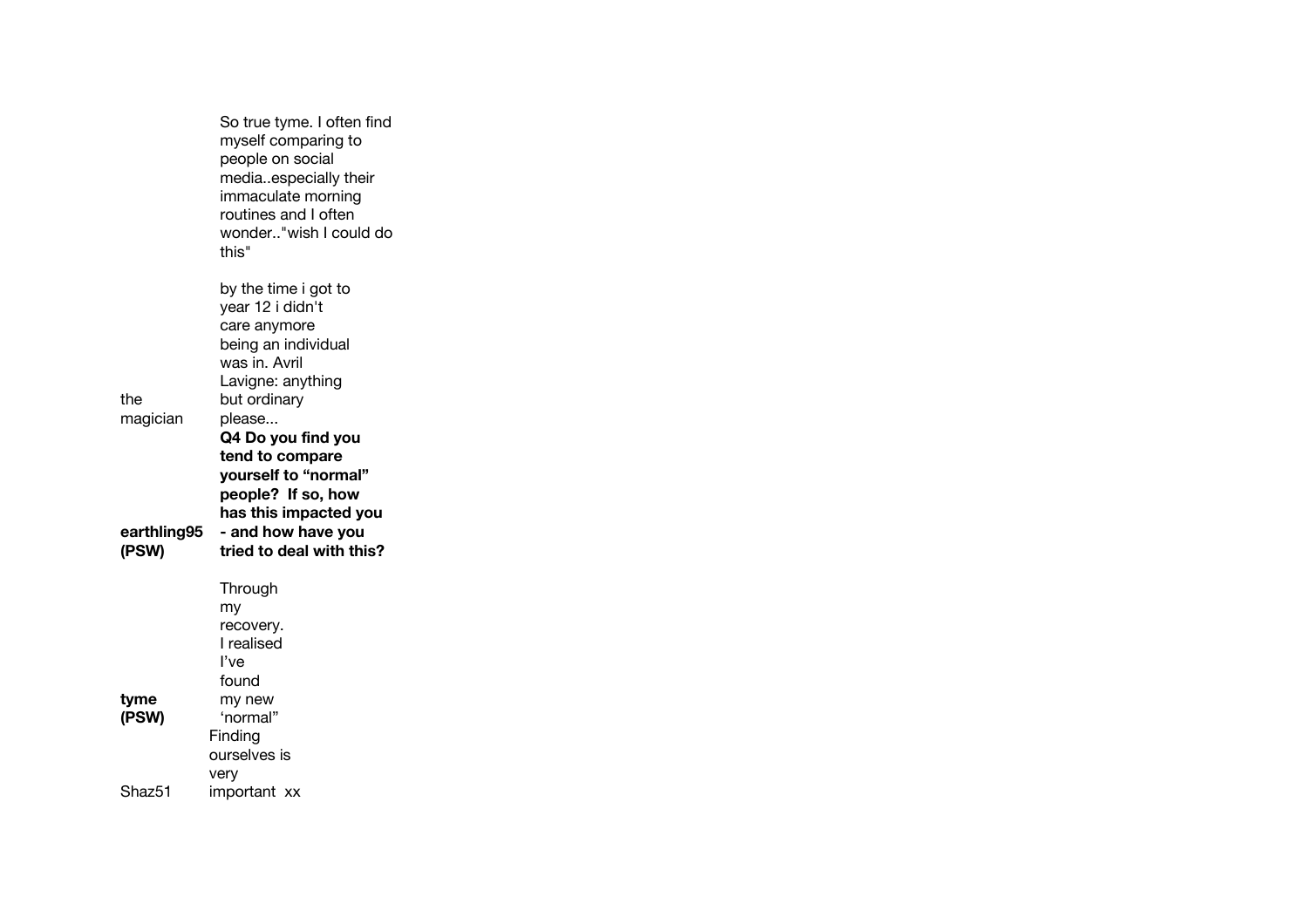|                      | So true tyme. I often find<br>myself comparing to<br>people on social<br>mediaespecially their<br>immaculate morning<br>routines and I often<br>wonder"wish I could do<br>this" |
|----------------------|---------------------------------------------------------------------------------------------------------------------------------------------------------------------------------|
| the                  | by the time i got to<br>year 12 i didn't<br>care anymore<br>being an individual<br>was in. Avril<br>Lavigne: anything<br>but ordinary                                           |
| magician             | please<br>Q4 Do you find you<br>tend to compare<br>yourself to "normal"<br>people? If so, how<br>has this impacted you                                                          |
| earthling95<br>(PSW) | - and how have you<br>tried to deal with this?                                                                                                                                  |
|                      | Through<br>my<br>recovery.<br>I realised<br>l've                                                                                                                                |
| tyme                 | found<br>my new                                                                                                                                                                 |
| (PSW)                | 'normal"<br>Finding                                                                                                                                                             |
|                      | ourselves is                                                                                                                                                                    |
|                      | very                                                                                                                                                                            |
| Shaz51               | important xx                                                                                                                                                                    |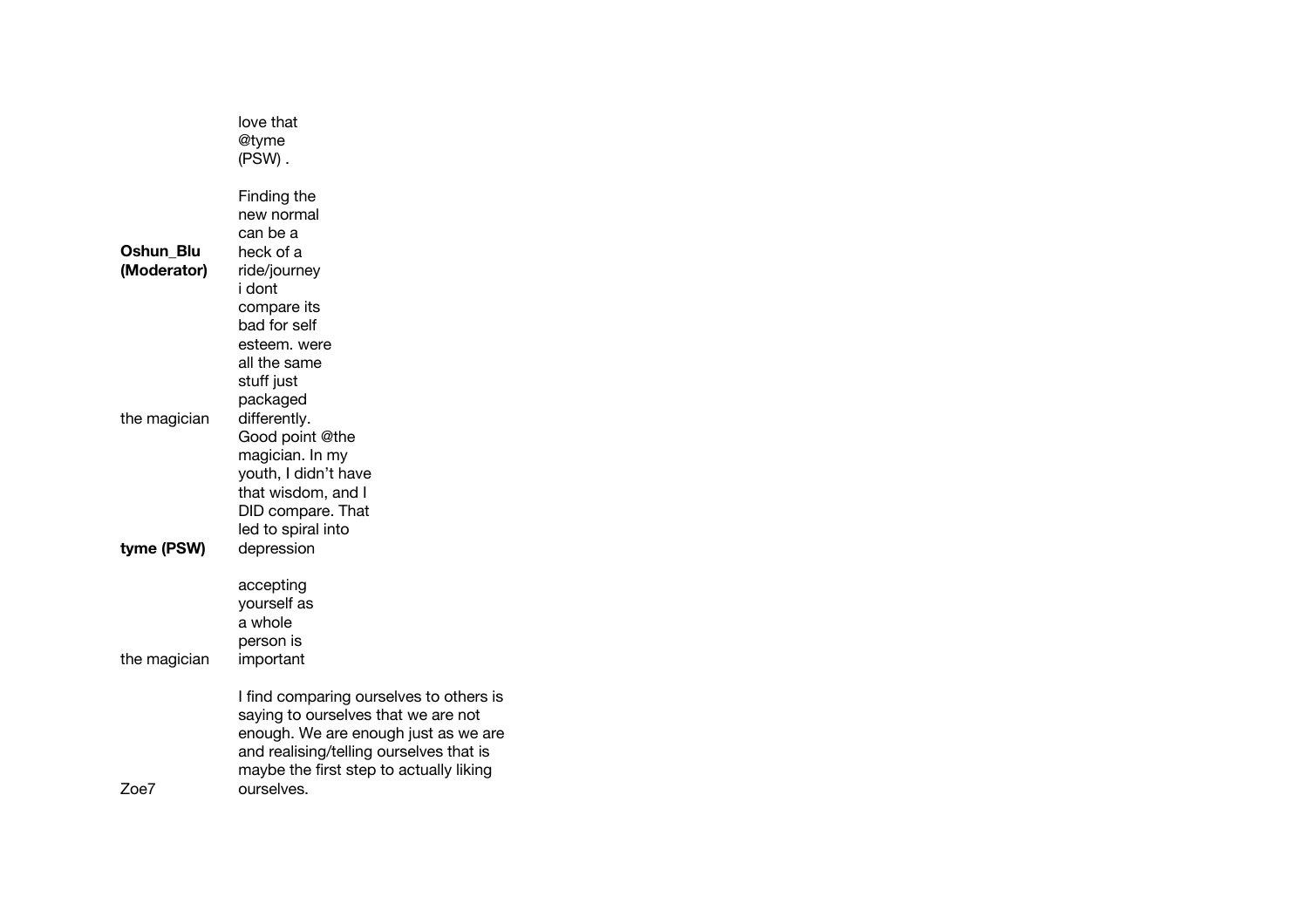|                            | love that<br>@tyme<br>(PSW).                                                                                                                                                                                               |
|----------------------------|----------------------------------------------------------------------------------------------------------------------------------------------------------------------------------------------------------------------------|
| Oshun_Blu<br>(Moderator)   | Finding the<br>new normal<br>can be a<br>heck of a<br>ride/journey<br>i dont<br>compare its<br>bad for self<br>esteem, were                                                                                                |
| the magician<br>tyme (PSW) | all the same<br>stuff just<br>packaged<br>differently.<br>Good point @the<br>magician. In my<br>youth, I didn't have<br>that wisdom, and I<br>DID compare. That<br>led to spiral into<br>depression                        |
| the magician               | accepting<br>yourself as<br>a whole<br>person is<br>important                                                                                                                                                              |
| Zoe7                       | I find comparing ourselves to others is<br>saying to ourselves that we are not<br>enough. We are enough just as we are<br>and realising/telling ourselves that is<br>maybe the first step to actually liking<br>ourselves. |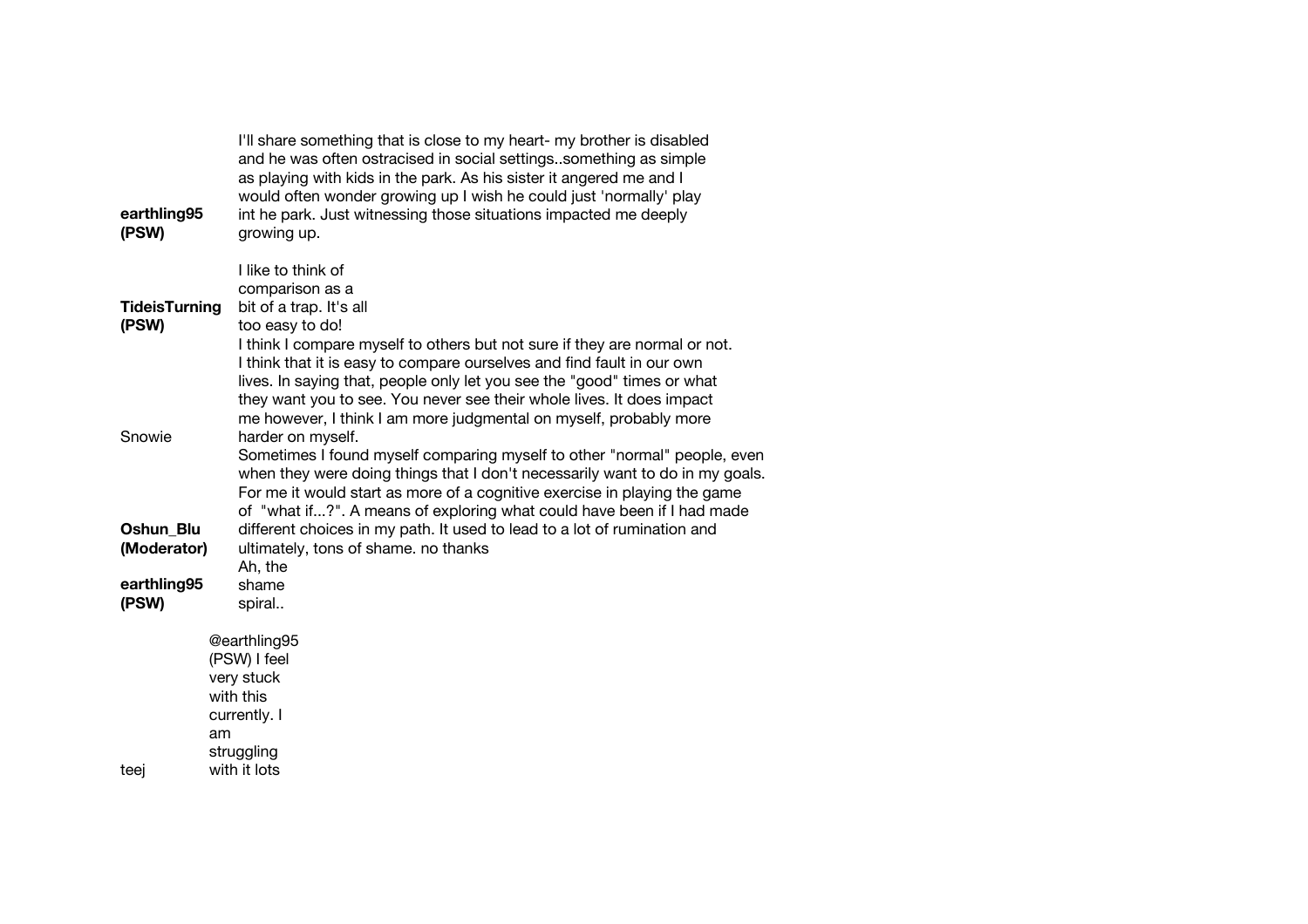| earthling95<br>(PSW)            | I'll share something that is close to my heart- my brother is disabled<br>and he was often ostracised in social settings. something as simple<br>as playing with kids in the park. As his sister it angered me and I<br>would often wonder growing up I wish he could just 'normally' play<br>int he park. Just witnessing those situations impacted me deeply<br>growing up.                             |
|---------------------------------|-----------------------------------------------------------------------------------------------------------------------------------------------------------------------------------------------------------------------------------------------------------------------------------------------------------------------------------------------------------------------------------------------------------|
| <b>TideisTurning</b><br>(PSW)   | I like to think of<br>comparison as a<br>bit of a trap. It's all<br>too easy to do!<br>I think I compare myself to others but not sure if they are normal or not.<br>I think that it is easy to compare ourselves and find fault in our own<br>lives. In saying that, people only let you see the "good" times or what<br>they want you to see. You never see their whole lives. It does impact           |
| Snowie                          | me however, I think I am more judgmental on myself, probably more<br>harder on myself.<br>Sometimes I found myself comparing myself to other "normal" people, even<br>when they were doing things that I don't necessarily want to do in my goals.<br>For me it would start as more of a cognitive exercise in playing the game<br>of "what if?". A means of exploring what could have been if I had made |
| <b>Oshun Blu</b><br>(Moderator) | different choices in my path. It used to lead to a lot of rumination and<br>ultimately, tons of shame. no thanks<br>Ah, the                                                                                                                                                                                                                                                                               |
| earthling95<br>(PSW)            | shame<br>spiral                                                                                                                                                                                                                                                                                                                                                                                           |
| teej                            | @earthling95<br>(PSW) I feel<br>very stuck<br>with this<br>currently. I<br>am<br>struggling<br>with it lots                                                                                                                                                                                                                                                                                               |
|                                 |                                                                                                                                                                                                                                                                                                                                                                                                           |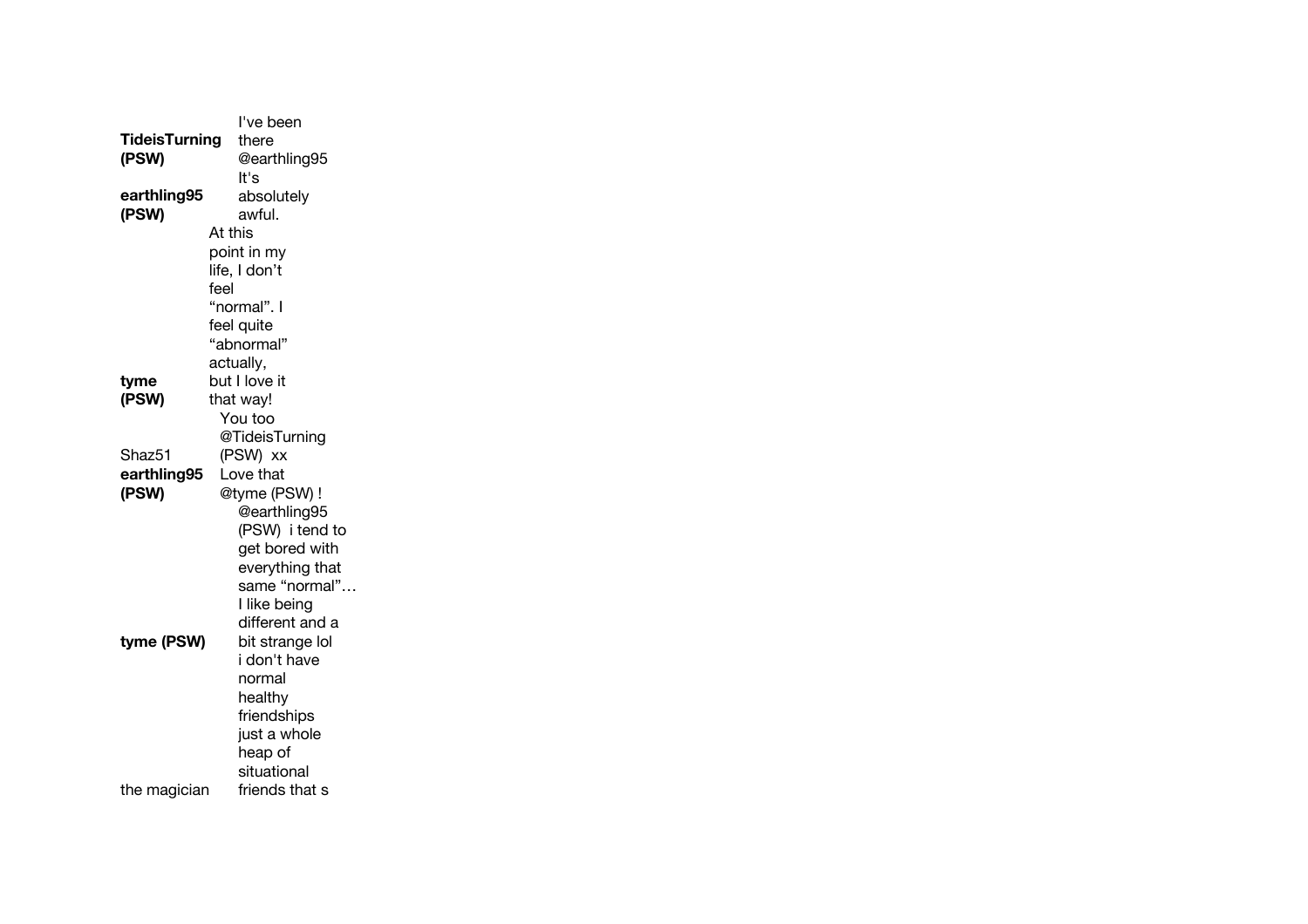|                      | I've been       |
|----------------------|-----------------|
| <b>TideisTurning</b> | there           |
| (PSW)                | @earthling95    |
|                      | It's            |
| earthling95          | absolutely      |
| (PSW)                | awful.          |
|                      | At this         |
|                      | point in my     |
|                      | life, I don't   |
|                      | feel            |
|                      | "normal". I     |
|                      | feel quite      |
|                      | "abnormal"      |
|                      | actually,       |
| tyme                 | but I love it   |
| (PSW)                | that way!       |
|                      | You too         |
|                      | @TideisTurning  |
| Shaz51               | (PSW) xx        |
| earthling95          | Love that       |
| (PSW)                | @tyme (PSW) !   |
|                      | @earthling95    |
|                      | (PSW) i tend to |
|                      | get bored with  |
|                      | everything that |
|                      | same "normal"   |
|                      | I like being    |
|                      | different and a |
| tyme (PSW)           | bit strange lol |
|                      | i don't have    |
|                      | normal          |
|                      | healthy         |
|                      | friendships     |
|                      | just a whole    |
|                      | heap of         |
|                      | situational     |
| the magician         | friends that s  |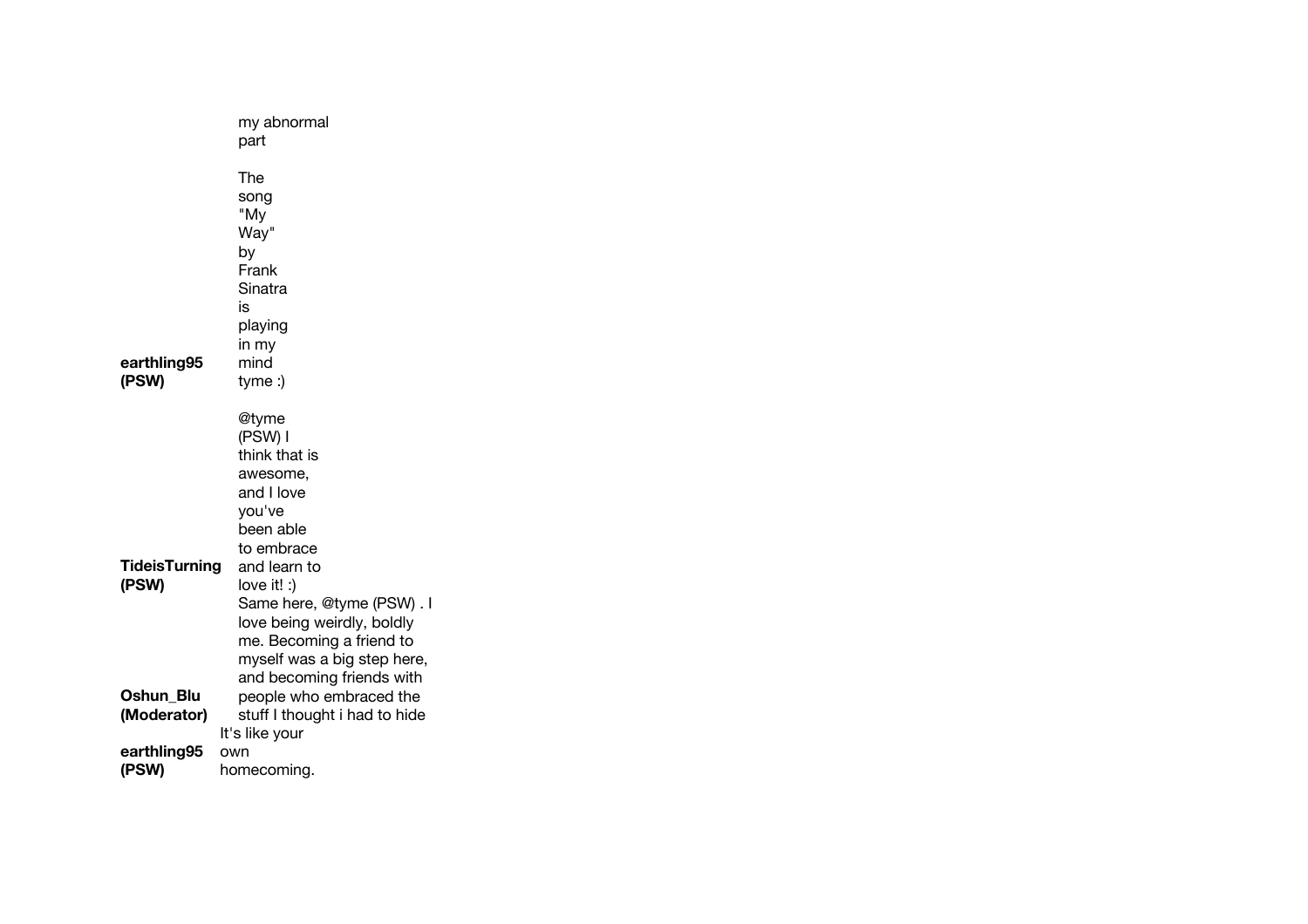|                               | my abnormal<br>part                                                                                                                                                                                                                                   |
|-------------------------------|-------------------------------------------------------------------------------------------------------------------------------------------------------------------------------------------------------------------------------------------------------|
| earthling95<br>(PSW)          | The<br>song<br>"My<br>Way"<br>by<br>Frank<br>Sinatra<br>is<br>playing<br>in my<br>mind<br>tyme:)                                                                                                                                                      |
| <b>TideisTurning</b><br>(PSW) | @tyme<br>(PSW) I<br>think that is<br>awesome,<br>and I love<br>you've<br>been able<br>to embrace<br>and learn to<br>love it! :)<br>Same here, @tyme (PSW). I<br>love being weirdly, boldly<br>me. Becoming a friend to<br>myself was a big step here, |
| Oshun_Blu<br>(Moderator)      | and becoming friends with<br>people who embraced the<br>stuff I thought i had to hide<br>It's like your                                                                                                                                               |
| earthling95<br>(PSW)          | own<br>homecoming.                                                                                                                                                                                                                                    |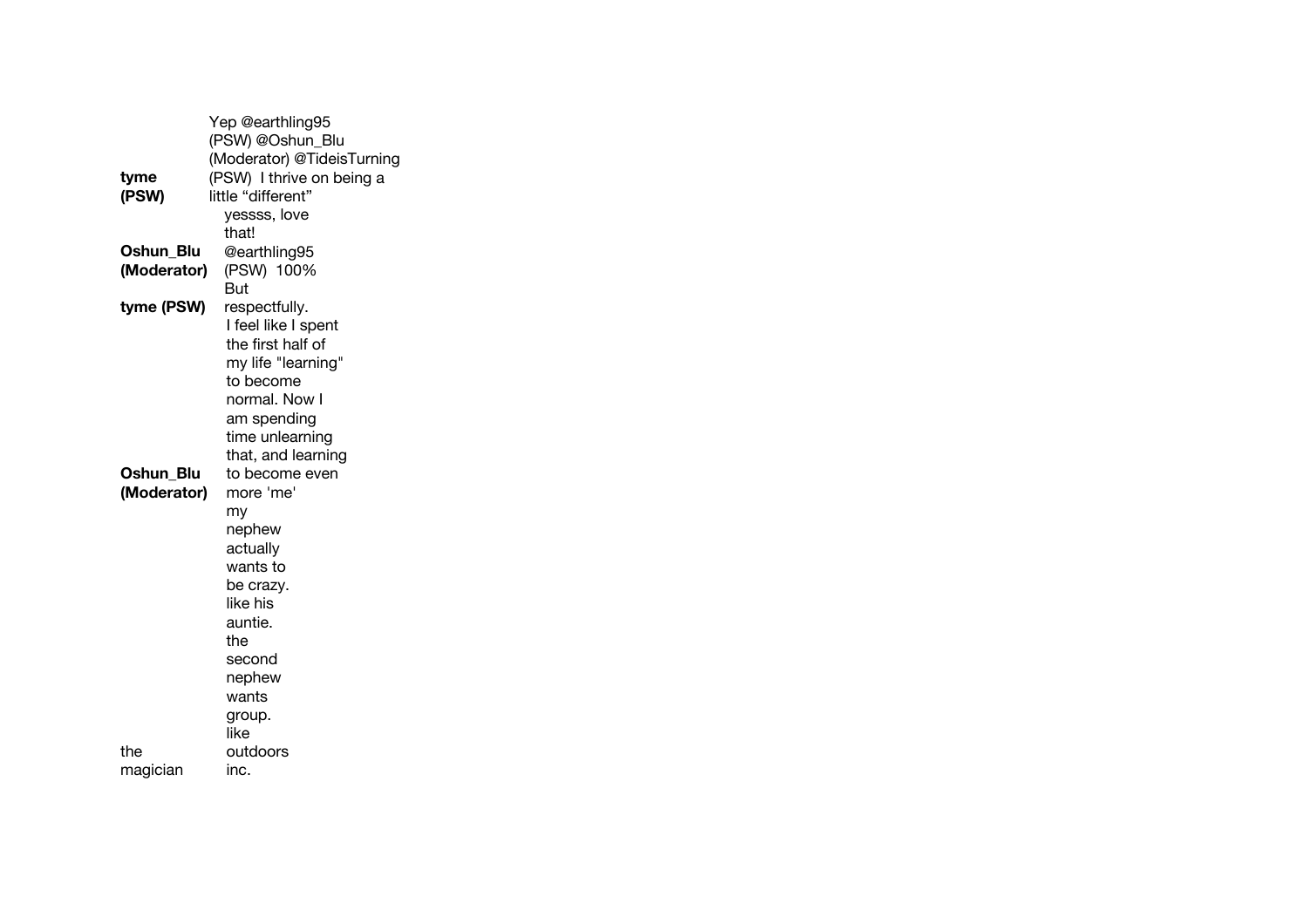|             | Yep @earthling95           |
|-------------|----------------------------|
|             | (PSW) @Oshun_Blu           |
|             | (Moderator) @TideisTurning |
| tyme        | (PSW) I thrive on being a  |
| (PSW)       | little "different"         |
|             | yessss, love               |
|             | that!                      |
| Oshun_Blu   | @earthling95               |
| (Moderator) | (PSW) 100%                 |
|             | But                        |
| tyme (PSW)  | respectfully.              |
|             | I feel like I spent        |
|             | the first half of          |
|             | my life "learning"         |
|             | to become                  |
|             | normal. Now I              |
|             | am spending                |
|             | time unlearning            |
|             | that, and learning         |
| Oshun_Blu   | to become even             |
| (Moderator) | more 'me'                  |
|             | my                         |
|             | nephew                     |
|             | actually                   |
|             | wants to                   |
|             | be crazy.                  |
|             | like his                   |
|             | auntie.                    |
|             | the                        |
|             | second                     |
|             | nephew                     |
|             | wants                      |
|             | group.                     |
|             | like                       |
| the         | outdoors                   |
| magician    | inc.                       |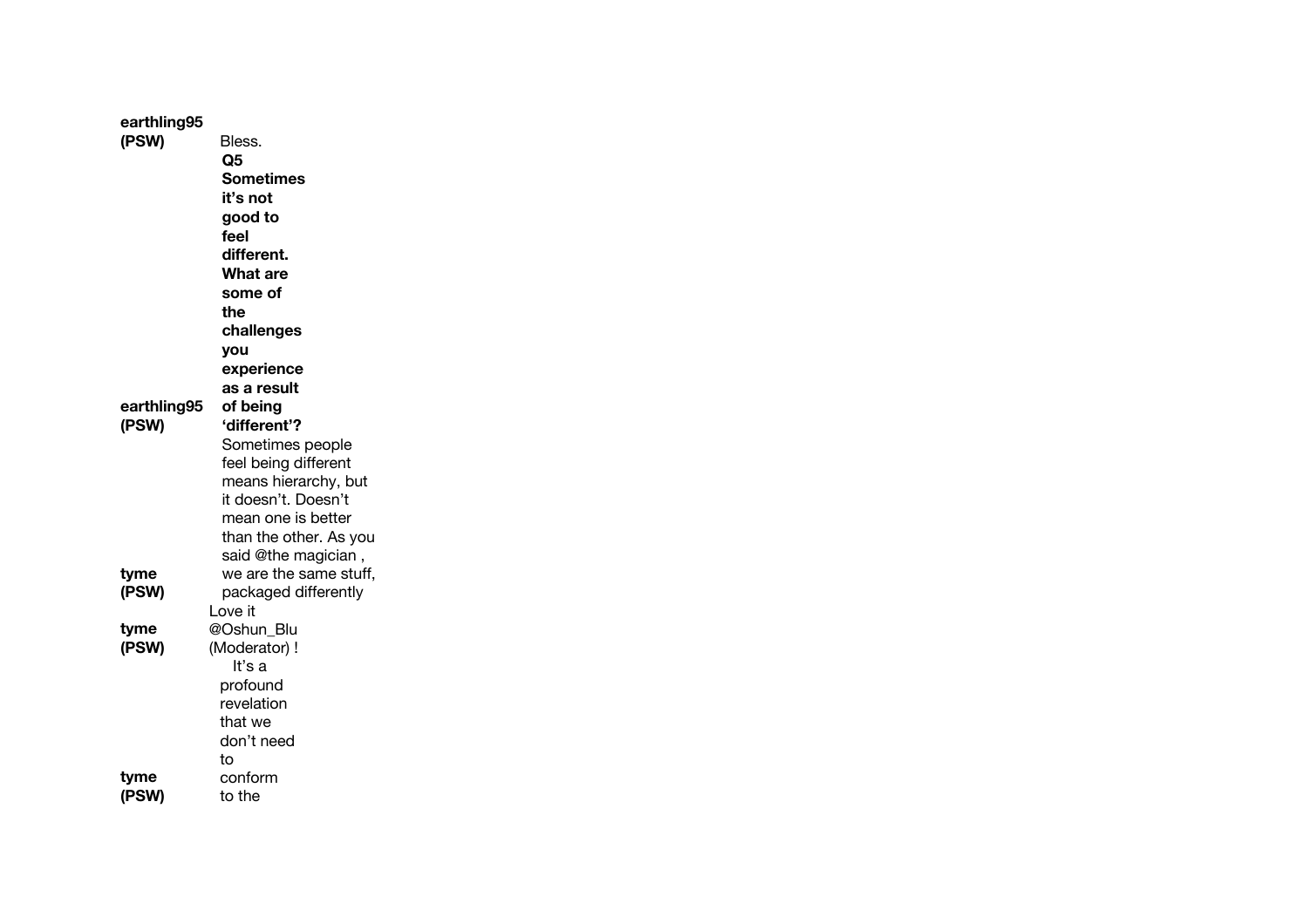| earthling95 |                                               |
|-------------|-----------------------------------------------|
| (PSW)       | Bless.                                        |
|             | Q5                                            |
|             | Sometimes                                     |
|             | it's not                                      |
|             | good to                                       |
|             | feel                                          |
|             | different.                                    |
|             | What are                                      |
|             | some of                                       |
|             | the                                           |
|             | challenges                                    |
|             | you                                           |
|             | experience                                    |
|             | as a result                                   |
| earthling95 | of being                                      |
| (PSW)       | 'different'?                                  |
|             | Sometimes people                              |
|             | feel being different                          |
|             | means hierarchy, but<br>it doesn't. Doesn't   |
|             | mean one is better                            |
|             |                                               |
|             | than the other. As you<br>said @the magician, |
| tyme        | we are the same stuff,                        |
| (PSW)       | packaged differently                          |
|             | Love it                                       |
| tyme        | @Oshun Blu                                    |
| (PSW)       | (Moderator) !                                 |
|             | It's a                                        |
|             | profound                                      |
|             | revelation                                    |
|             | that we                                       |
|             | don't need                                    |
|             | to                                            |
| tyme        | conform                                       |
| (PSW)       | to the                                        |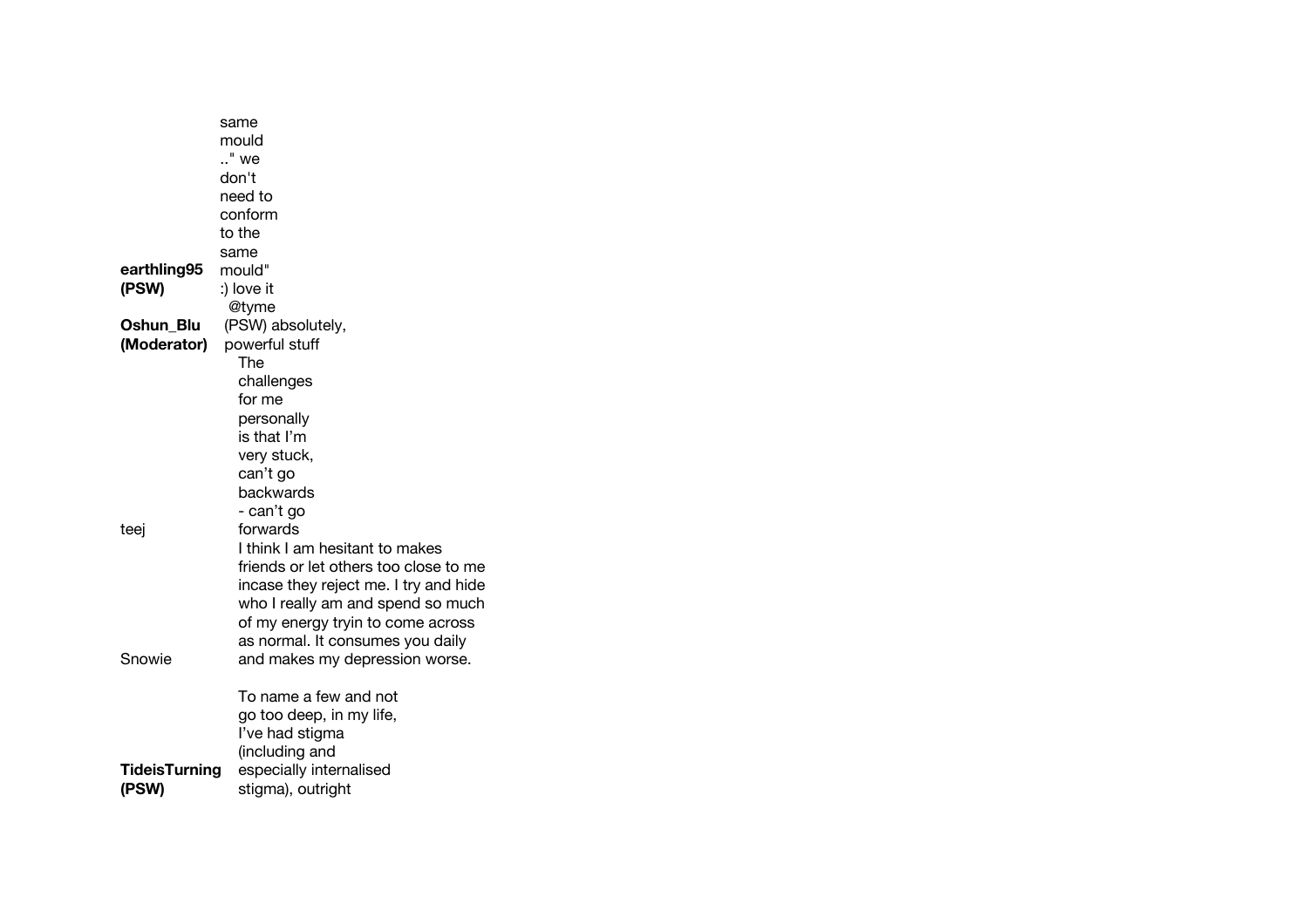|                      | same                                  |
|----------------------|---------------------------------------|
|                      | mould                                 |
|                      | " we                                  |
|                      | don't                                 |
|                      | need to                               |
|                      | conform                               |
|                      | to the                                |
|                      | same                                  |
| earthling95          | mould"                                |
| (PSW)                | :) love it                            |
|                      | @tyme                                 |
| Oshun_Blu            | (PSW) absolutely,                     |
| (Moderator)          | powerful stuff                        |
|                      | The                                   |
|                      | challenges                            |
|                      | for me                                |
|                      | personally                            |
|                      | is that I'm                           |
|                      | very stuck,                           |
|                      | can't go                              |
|                      | backwards                             |
|                      | - can't go                            |
| teej                 | forwards                              |
|                      | I think I am hesitant to makes        |
|                      | friends or let others too close to me |
|                      | incase they reject me. I try and hide |
|                      | who I really am and spend so much     |
|                      | of my energy tryin to come across     |
|                      | as normal. It consumes you daily      |
| Snowie               | and makes my depression worse.        |
|                      |                                       |
|                      | To name a few and not                 |
|                      | go too deep, in my life,              |
|                      | l've had stigma                       |
|                      | (including and                        |
| <b>TideisTurning</b> | especially internalised               |
| (PSW)                | stigma), outright                     |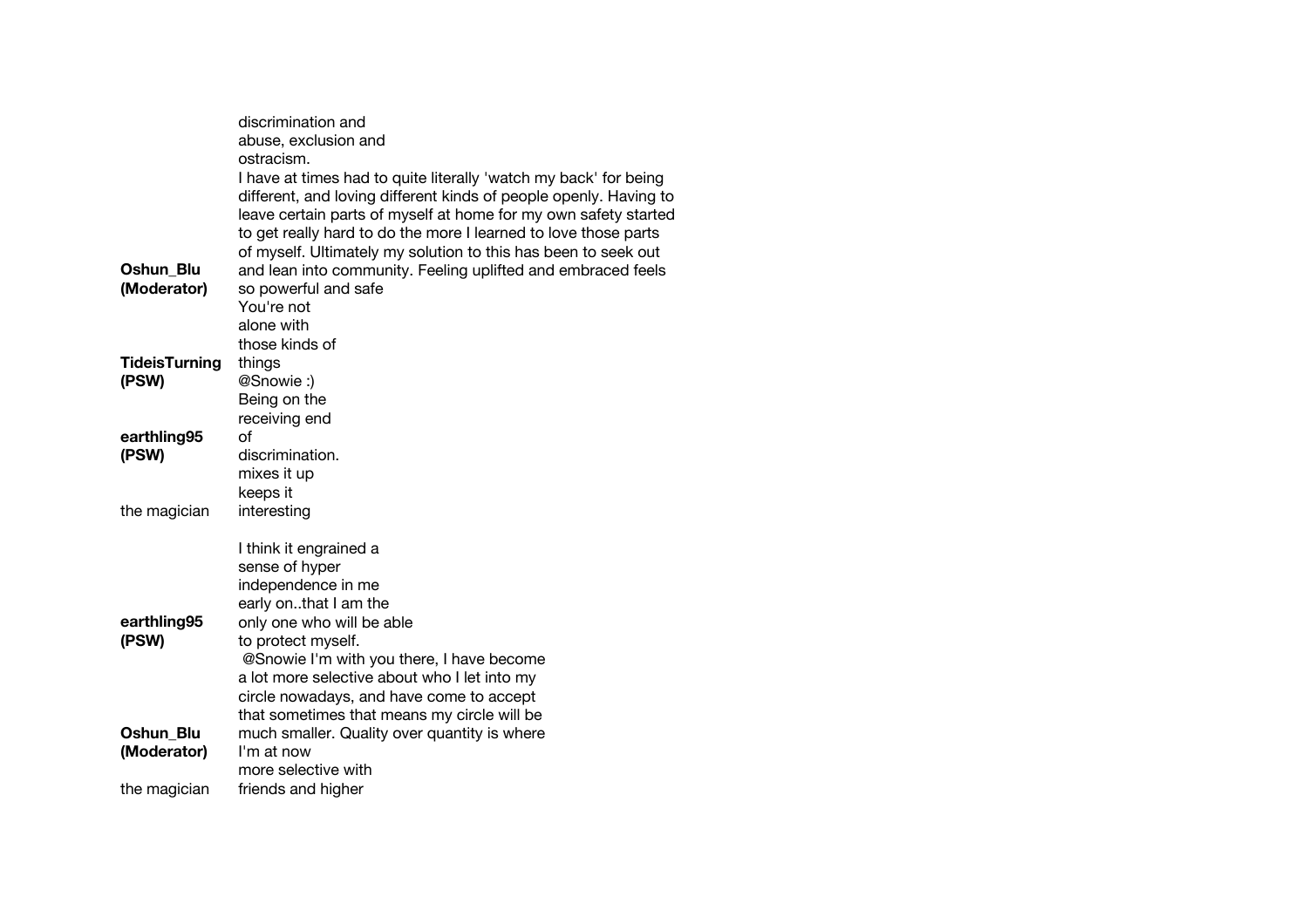|                      | discrimination and                                                                                                                                                                                                                                                                                                                            |
|----------------------|-----------------------------------------------------------------------------------------------------------------------------------------------------------------------------------------------------------------------------------------------------------------------------------------------------------------------------------------------|
|                      | abuse, exclusion and                                                                                                                                                                                                                                                                                                                          |
|                      | ostracism.                                                                                                                                                                                                                                                                                                                                    |
|                      | I have at times had to quite literally 'watch my back' for being<br>different, and loving different kinds of people openly. Having to<br>leave certain parts of myself at home for my own safety started<br>to get really hard to do the more I learned to love those parts<br>of myself. Ultimately my solution to this has been to seek out |
| <b>Oshun Blu</b>     | and lean into community. Feeling uplifted and embraced feels                                                                                                                                                                                                                                                                                  |
| (Moderator)          | so powerful and safe                                                                                                                                                                                                                                                                                                                          |
|                      | You're not                                                                                                                                                                                                                                                                                                                                    |
|                      | alone with                                                                                                                                                                                                                                                                                                                                    |
|                      | those kinds of                                                                                                                                                                                                                                                                                                                                |
| <b>TideisTurning</b> | things                                                                                                                                                                                                                                                                                                                                        |
| (PSW)                | @Snowie:)                                                                                                                                                                                                                                                                                                                                     |
|                      | Being on the                                                                                                                                                                                                                                                                                                                                  |
|                      | receiving end                                                                                                                                                                                                                                                                                                                                 |
| earthling95          | оf                                                                                                                                                                                                                                                                                                                                            |
| (PSW)                | discrimination.                                                                                                                                                                                                                                                                                                                               |
|                      | mixes it up                                                                                                                                                                                                                                                                                                                                   |
|                      | keeps it                                                                                                                                                                                                                                                                                                                                      |
| the magician         | interesting                                                                                                                                                                                                                                                                                                                                   |
|                      |                                                                                                                                                                                                                                                                                                                                               |
|                      | I think it engrained a                                                                                                                                                                                                                                                                                                                        |
|                      | sense of hyper                                                                                                                                                                                                                                                                                                                                |
|                      | independence in me                                                                                                                                                                                                                                                                                                                            |
|                      | early onthat I am the                                                                                                                                                                                                                                                                                                                         |
| earthling95          | only one who will be able                                                                                                                                                                                                                                                                                                                     |
| (PSW)                | to protect myself.                                                                                                                                                                                                                                                                                                                            |
|                      | @Snowie I'm with you there, I have become                                                                                                                                                                                                                                                                                                     |
|                      | a lot more selective about who I let into my                                                                                                                                                                                                                                                                                                  |
|                      | circle nowadays, and have come to accept                                                                                                                                                                                                                                                                                                      |
|                      | that sometimes that means my circle will be                                                                                                                                                                                                                                                                                                   |
| <b>Oshun Blu</b>     | much smaller. Quality over quantity is where                                                                                                                                                                                                                                                                                                  |
| (Moderator)          | I'm at now                                                                                                                                                                                                                                                                                                                                    |
|                      | more selective with                                                                                                                                                                                                                                                                                                                           |
| the magician         | friends and higher                                                                                                                                                                                                                                                                                                                            |
|                      |                                                                                                                                                                                                                                                                                                                                               |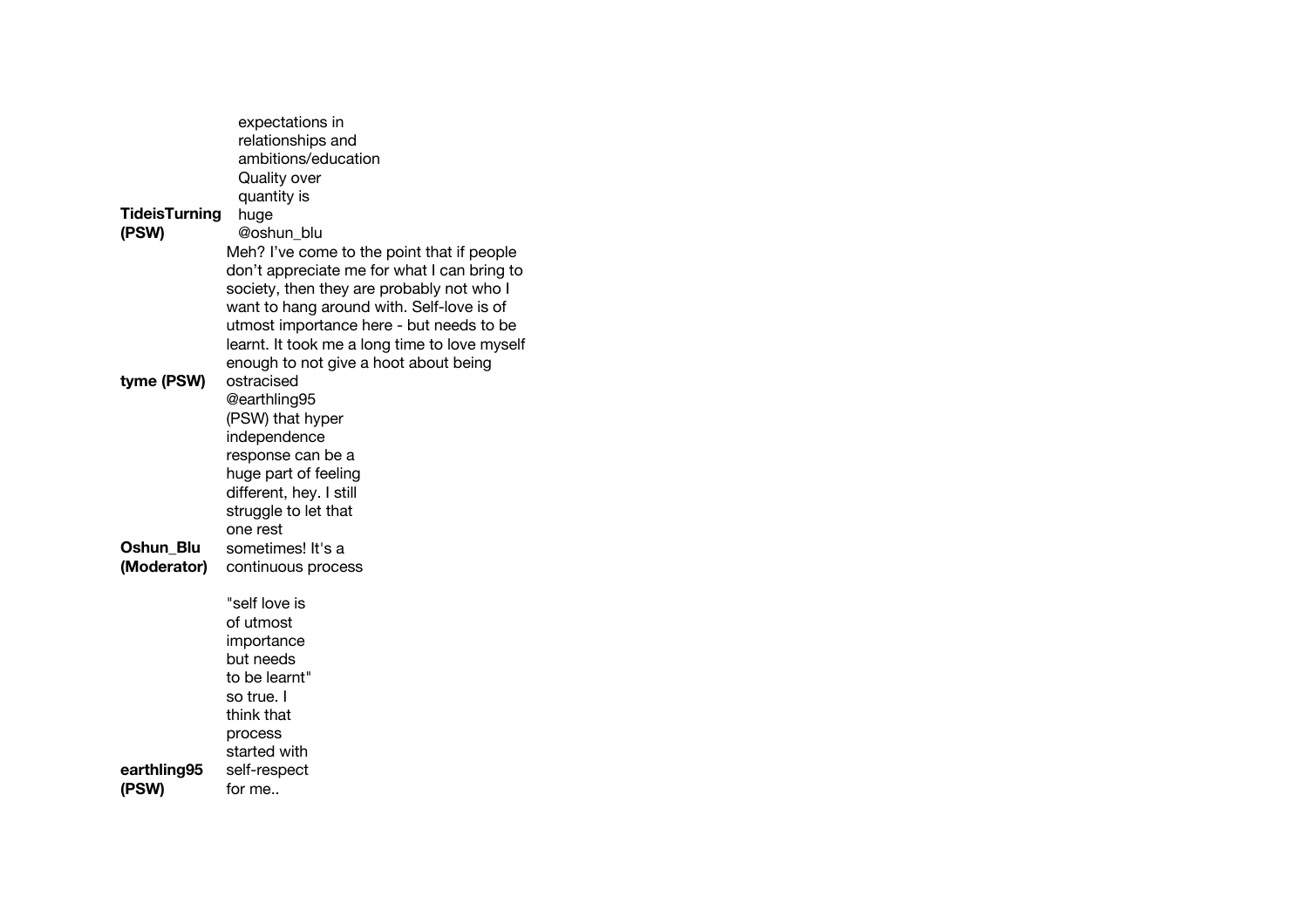|                      | expectations in                               |
|----------------------|-----------------------------------------------|
|                      | relationships and                             |
|                      | ambitions/education                           |
|                      | Quality over                                  |
|                      | quantity is                                   |
| <b>TideisTurning</b> | huge                                          |
| (PSW)                | @oshun blu                                    |
|                      | Meh? I've come to the point that if people    |
|                      | don't appreciate me for what I can bring to   |
|                      | society, then they are probably not who I     |
|                      | want to hang around with. Self-love is of     |
|                      | utmost importance here - but needs to be      |
|                      | learnt. It took me a long time to love myself |
|                      | enough to not give a hoot about being         |
| tyme (PSW)           | ostracised                                    |
|                      | @earthling95                                  |
|                      | (PSW) that hyper                              |
|                      | independence                                  |
|                      | response can be a                             |
|                      | huge part of feeling                          |
|                      | different, hey. I still                       |
|                      | struggle to let that                          |
|                      | one rest                                      |
| Oshun Blu            | sometimes! It's a                             |
| (Moderator)          | continuous process                            |
|                      | "self love is                                 |
|                      | of utmost                                     |
|                      | importance                                    |
|                      | but needs                                     |
|                      | to be learnt"                                 |
|                      | so true. I                                    |
|                      | think that                                    |
|                      | process                                       |
|                      | started with                                  |
| earthling95          | self-respect                                  |
| (PSW)                | for me                                        |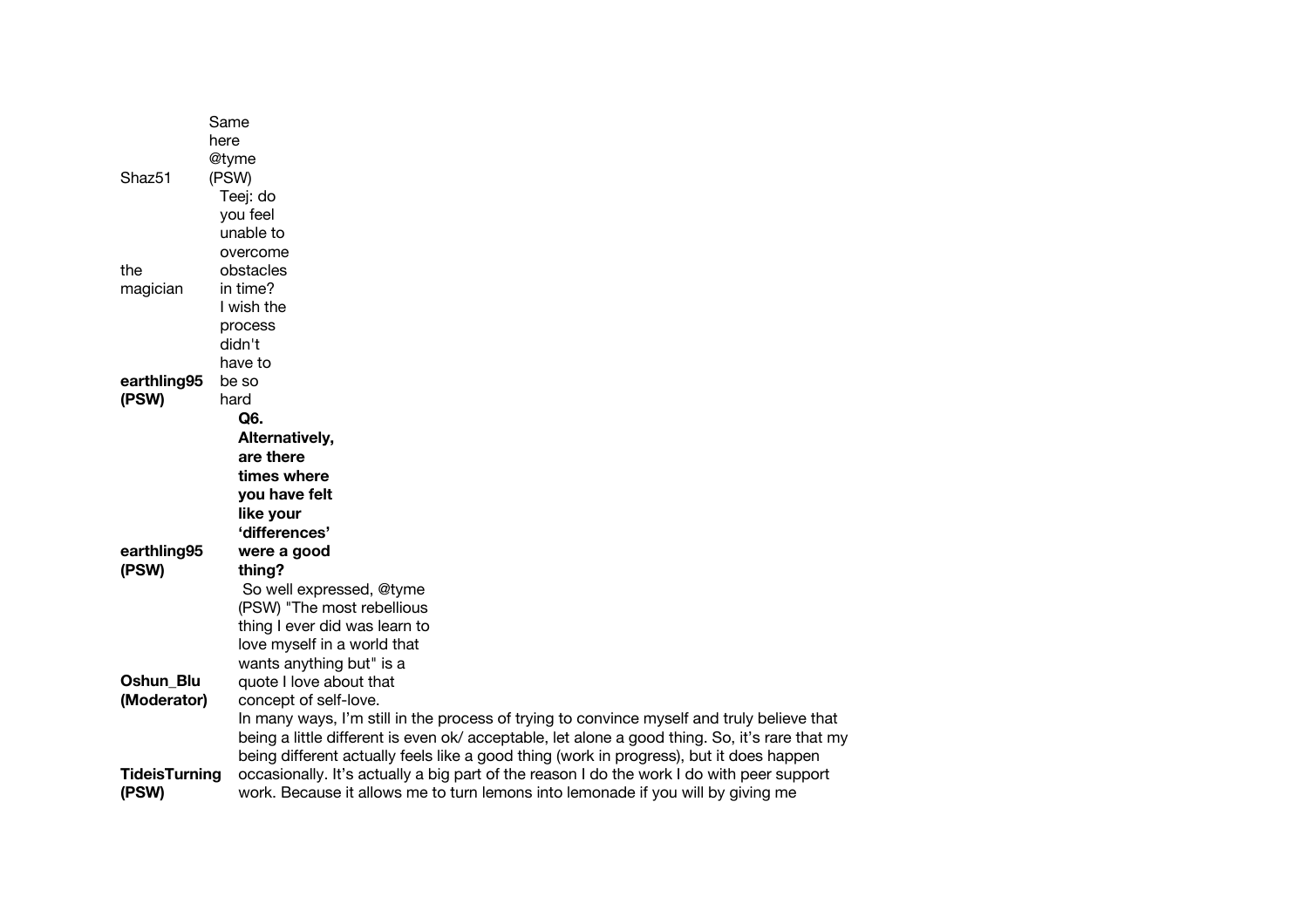|                      | Same                                                                                                                                                                                         |
|----------------------|----------------------------------------------------------------------------------------------------------------------------------------------------------------------------------------------|
|                      | here                                                                                                                                                                                         |
|                      | @tyme                                                                                                                                                                                        |
| Shaz <sub>51</sub>   | (PSW)                                                                                                                                                                                        |
|                      | Teej: do                                                                                                                                                                                     |
|                      | you feel                                                                                                                                                                                     |
|                      | unable to                                                                                                                                                                                    |
|                      | overcome                                                                                                                                                                                     |
| the                  | obstacles                                                                                                                                                                                    |
| magician             | in time?                                                                                                                                                                                     |
|                      | I wish the                                                                                                                                                                                   |
|                      | process                                                                                                                                                                                      |
|                      | didn't                                                                                                                                                                                       |
|                      | have to                                                                                                                                                                                      |
| earthling95          | be so                                                                                                                                                                                        |
| (PSW)                | hard                                                                                                                                                                                         |
|                      | Q6.                                                                                                                                                                                          |
|                      | Alternatively,                                                                                                                                                                               |
|                      | are there                                                                                                                                                                                    |
|                      | times where                                                                                                                                                                                  |
|                      | you have felt                                                                                                                                                                                |
|                      | like your                                                                                                                                                                                    |
|                      | 'differences'                                                                                                                                                                                |
| earthling95          | were a good                                                                                                                                                                                  |
| (PSW)                | thing?                                                                                                                                                                                       |
|                      | So well expressed, @tyme                                                                                                                                                                     |
|                      | (PSW) "The most rebellious                                                                                                                                                                   |
|                      | thing I ever did was learn to                                                                                                                                                                |
|                      | love myself in a world that                                                                                                                                                                  |
|                      | wants anything but" is a                                                                                                                                                                     |
| <b>Oshun Blu</b>     | quote I love about that                                                                                                                                                                      |
| (Moderator)          | concept of self-love.                                                                                                                                                                        |
|                      | In many ways, I'm still in the process of trying to convince myself and truly believe that<br>being a little different is even ok/ acceptable, let alone a good thing. So, it's rare that my |
|                      | being different actually feels like a good thing (work in progress), but it does happen                                                                                                      |
| <b>TideisTurning</b> | occasionally. It's actually a big part of the reason I do the work I do with peer support                                                                                                    |
| (PSW)                | work. Because it allows me to turn lemons into lemonade if you will by giving me                                                                                                             |
|                      |                                                                                                                                                                                              |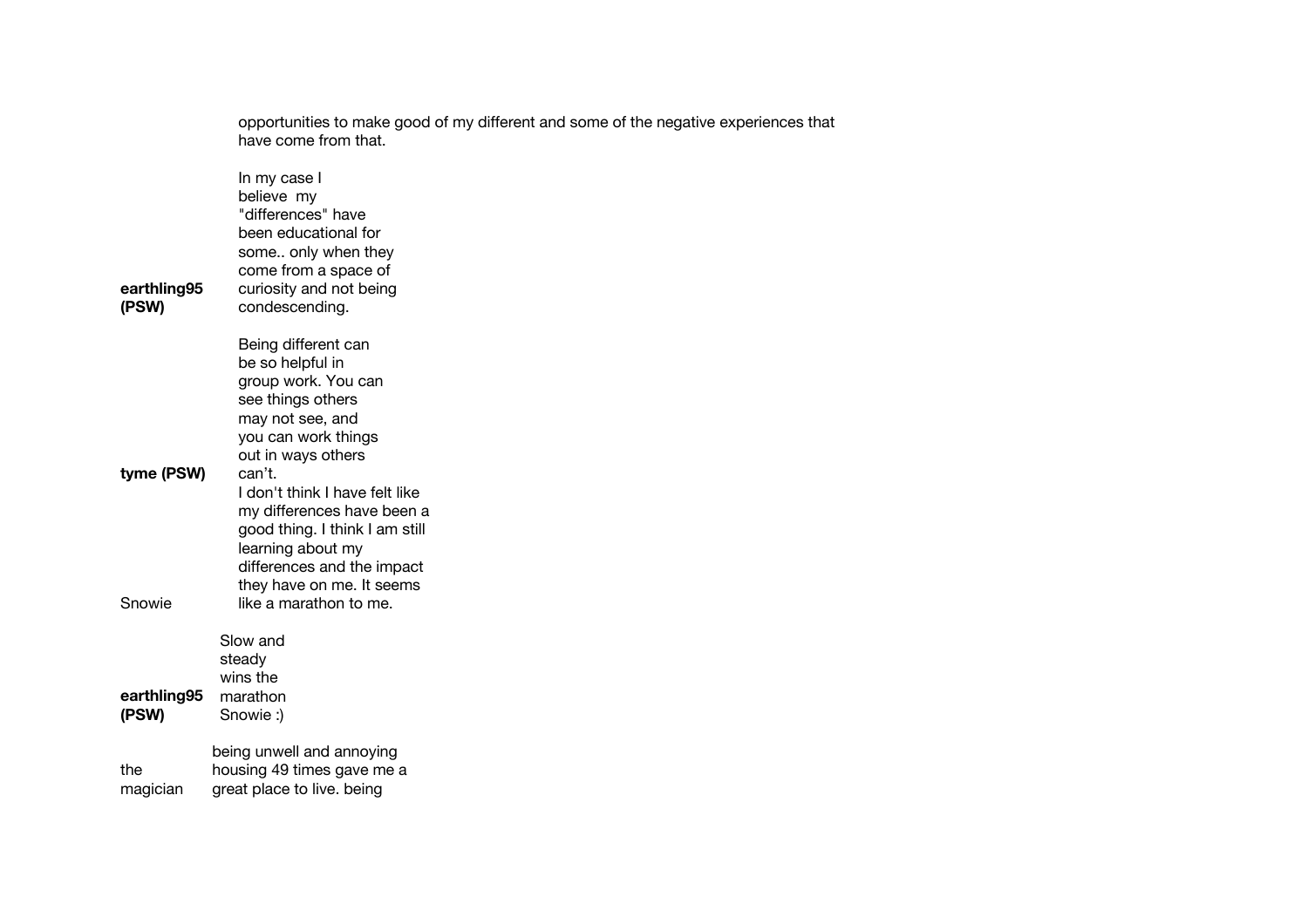|                      | opportunities to make good of my different and some of the negative experiences that<br>have come from that.                                                                                             |
|----------------------|----------------------------------------------------------------------------------------------------------------------------------------------------------------------------------------------------------|
| earthling95<br>(PSW) | In my case I<br>believe my<br>"differences" have<br>been educational for<br>some only when they<br>come from a space of<br>curiosity and not being<br>condescending.                                     |
| tyme (PSW)           | Being different can<br>be so helpful in<br>group work. You can<br>see things others<br>may not see, and<br>you can work things<br>out in ways others<br>can't.                                           |
| Snowie               | I don't think I have felt like<br>my differences have been a<br>good thing. I think I am still<br>learning about my<br>differences and the impact<br>they have on me. It seems<br>like a marathon to me. |
|                      | Slow and                                                                                                                                                                                                 |
|                      | steady<br>wins the                                                                                                                                                                                       |
| earthling95<br>(PSW) | marathon<br>Snowie:)                                                                                                                                                                                     |
| the<br>magician      | being unwell and annoying<br>housing 49 times gave me a<br>great place to live. being                                                                                                                    |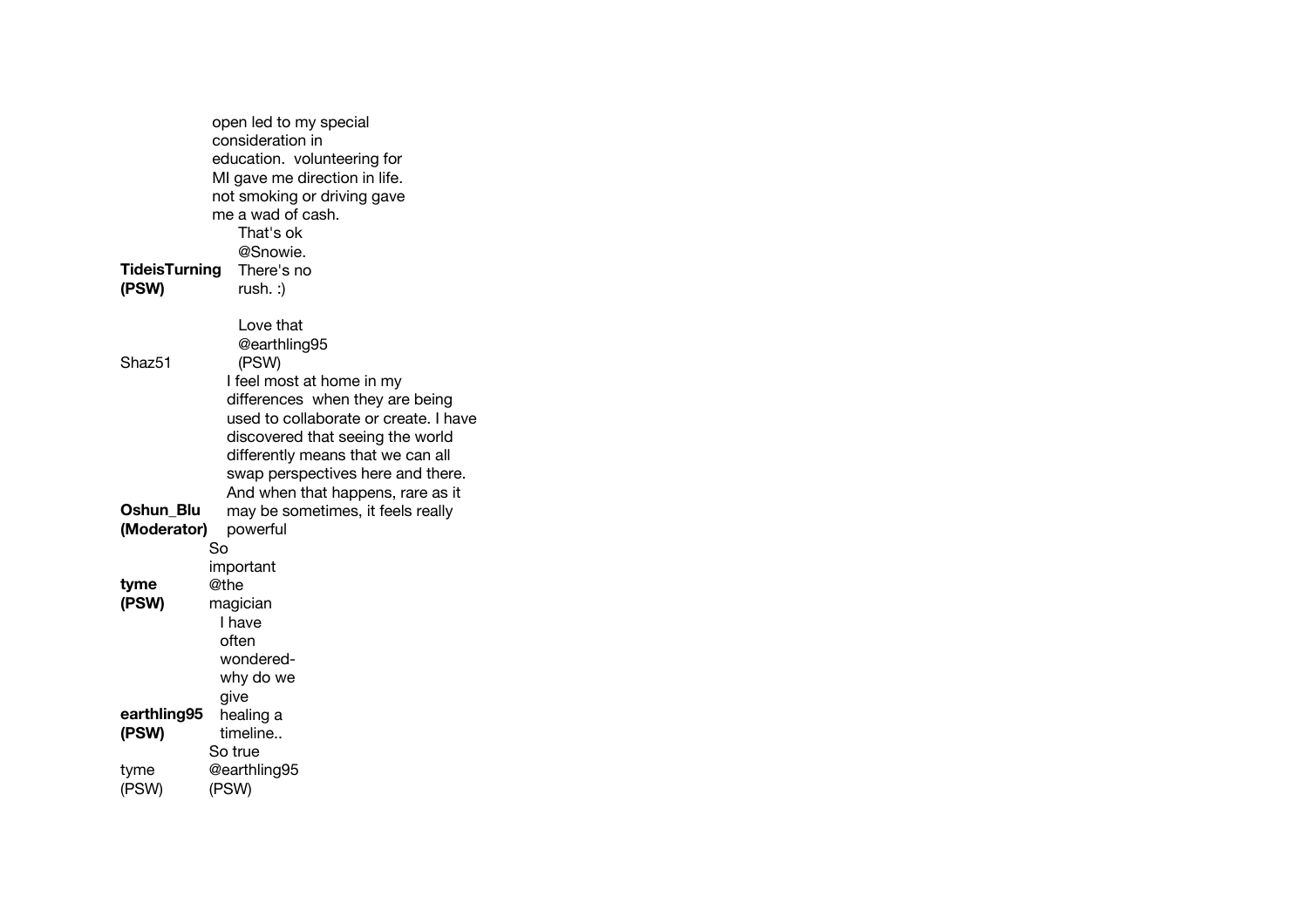|                      | open led to my special                |
|----------------------|---------------------------------------|
|                      | consideration in                      |
|                      | education. volunteering for           |
|                      | MI gave me direction in life.         |
|                      | not smoking or driving gave           |
|                      | me a wad of cash.                     |
|                      | That's ok                             |
|                      | @Snowie.                              |
| <b>TideisTurning</b> | There's no                            |
| (PSW)                | $rush.$ :)                            |
|                      |                                       |
|                      | Love that                             |
|                      | @earthling95                          |
| Shaz51               | (PSW)                                 |
|                      | I feel most at home in my             |
|                      | differences when they are being       |
|                      | used to collaborate or create. I have |
|                      | discovered that seeing the world      |
|                      | differently means that we can all     |
|                      | swap perspectives here and there.     |
|                      | And when that happens, rare as it     |
| Oshun_Blu            | may be sometimes, it feels really     |
| (Moderator)          | powerful                              |
|                      | So                                    |
|                      | important                             |
| tyme                 | @the                                  |
| (PSW)                | magician                              |
|                      | I have                                |
|                      | often                                 |
|                      | wondered-                             |
|                      | why do we                             |
|                      |                                       |
| earthling95          | give<br>healing a                     |
|                      | timeline                              |
| (PSW)                |                                       |
|                      | So true                               |
| tyme                 | @earthling95                          |
| (PSW)                | (PSW)                                 |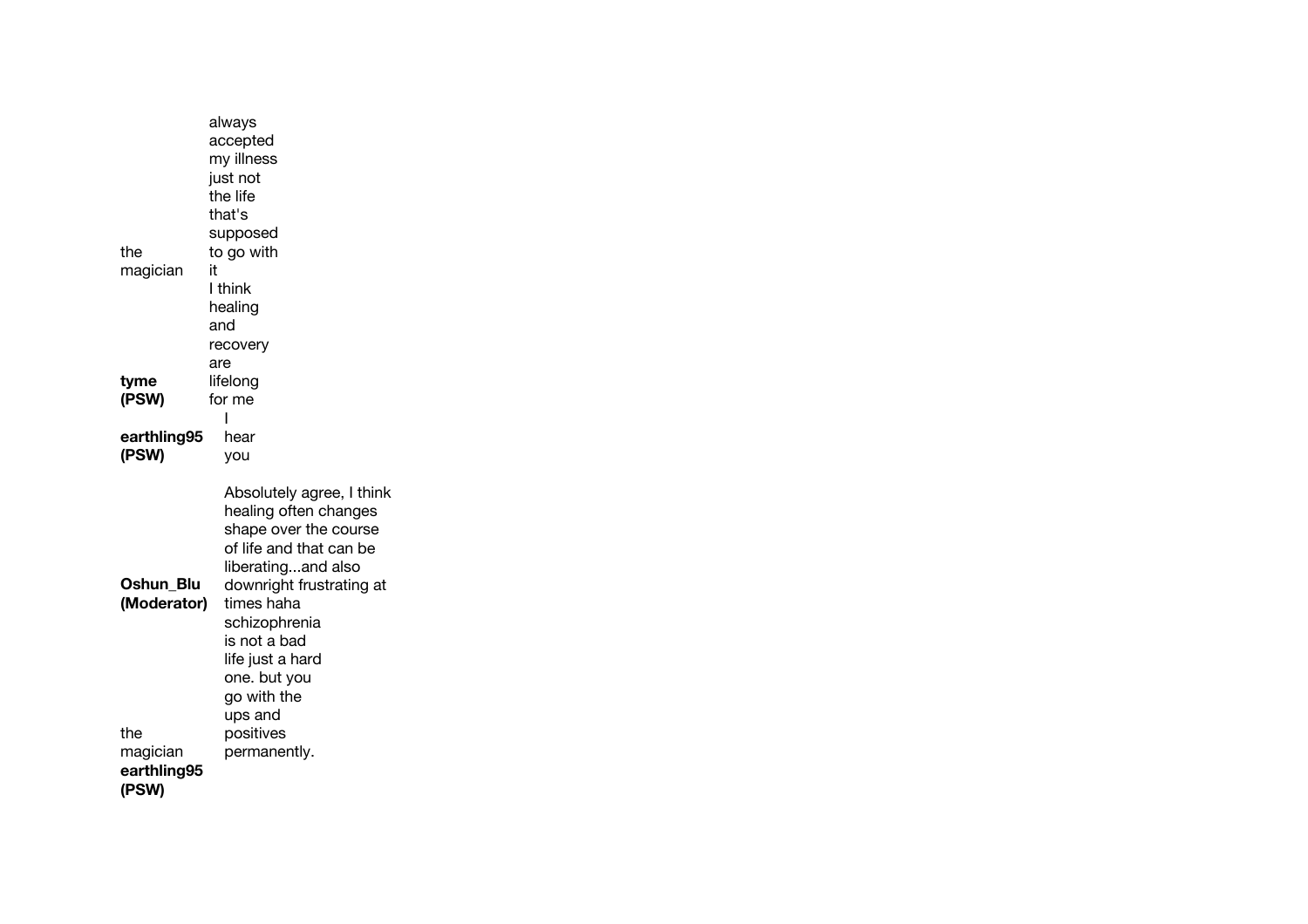|                                         | always                                                                                                                                                                                                                                                     |
|-----------------------------------------|------------------------------------------------------------------------------------------------------------------------------------------------------------------------------------------------------------------------------------------------------------|
|                                         | accepted                                                                                                                                                                                                                                                   |
|                                         | my illness                                                                                                                                                                                                                                                 |
|                                         | just not                                                                                                                                                                                                                                                   |
|                                         | the life                                                                                                                                                                                                                                                   |
|                                         | that's                                                                                                                                                                                                                                                     |
|                                         | supposed                                                                                                                                                                                                                                                   |
| the                                     | to go with                                                                                                                                                                                                                                                 |
| magician                                | it                                                                                                                                                                                                                                                         |
|                                         | I think                                                                                                                                                                                                                                                    |
|                                         | healing                                                                                                                                                                                                                                                    |
|                                         | and                                                                                                                                                                                                                                                        |
|                                         |                                                                                                                                                                                                                                                            |
|                                         | recovery                                                                                                                                                                                                                                                   |
|                                         | are                                                                                                                                                                                                                                                        |
| tyme                                    | lifelong                                                                                                                                                                                                                                                   |
| (PSW)                                   | for me                                                                                                                                                                                                                                                     |
|                                         | ı                                                                                                                                                                                                                                                          |
| earthling95                             | hear                                                                                                                                                                                                                                                       |
| (PSW)                                   | you                                                                                                                                                                                                                                                        |
| Oshun_Blu<br>(Moderator)                | Absolutely agree, I think<br>healing often changes<br>shape over the course<br>of life and that can be<br>liberatingand also<br>downright frustrating at<br>times haha<br>schizophrenia<br>is not a bad<br>life just a hard<br>one. but you<br>go with the |
| the<br>magician<br>earthling95<br>(PSW) | ups and<br>positives<br>permanently.                                                                                                                                                                                                                       |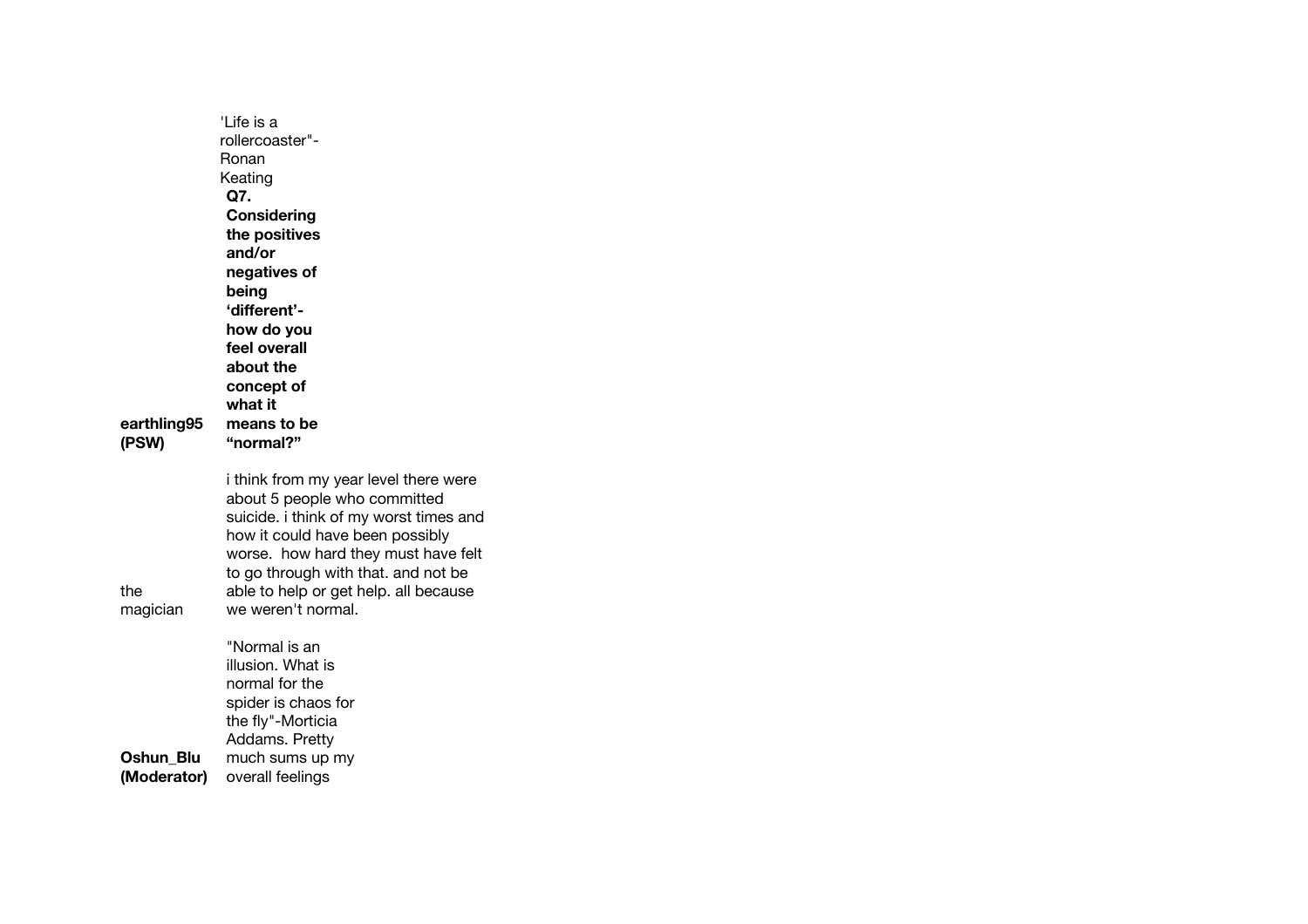|                      | 'Life is a<br>rollercoaster"-<br>Ronan<br>Keating<br>Q7.<br><b>Considering</b><br>the positives<br>and/or<br>negatives of<br>being<br>'different'-<br>how do you<br>feel overall<br>about the<br>concept of<br>what it                                                                          |
|----------------------|-------------------------------------------------------------------------------------------------------------------------------------------------------------------------------------------------------------------------------------------------------------------------------------------------|
| earthling95<br>(PSW) | means to be<br>"normal?"                                                                                                                                                                                                                                                                        |
| the<br>magician      | i think from my year level there were<br>about 5 people who committed<br>suicide. i think of my worst times and<br>how it could have been possibly<br>worse. how hard they must have felt<br>to go through with that. and not be<br>able to help or get help. all because<br>we weren't normal. |
| Oshun Blu            | "Normal is an<br>illusion. What is<br>normal for the<br>spider is chaos for<br>the fly"-Morticia<br>Addams. Pretty<br>much sums up my                                                                                                                                                           |
| (Moderator)          | overall feelings                                                                                                                                                                                                                                                                                |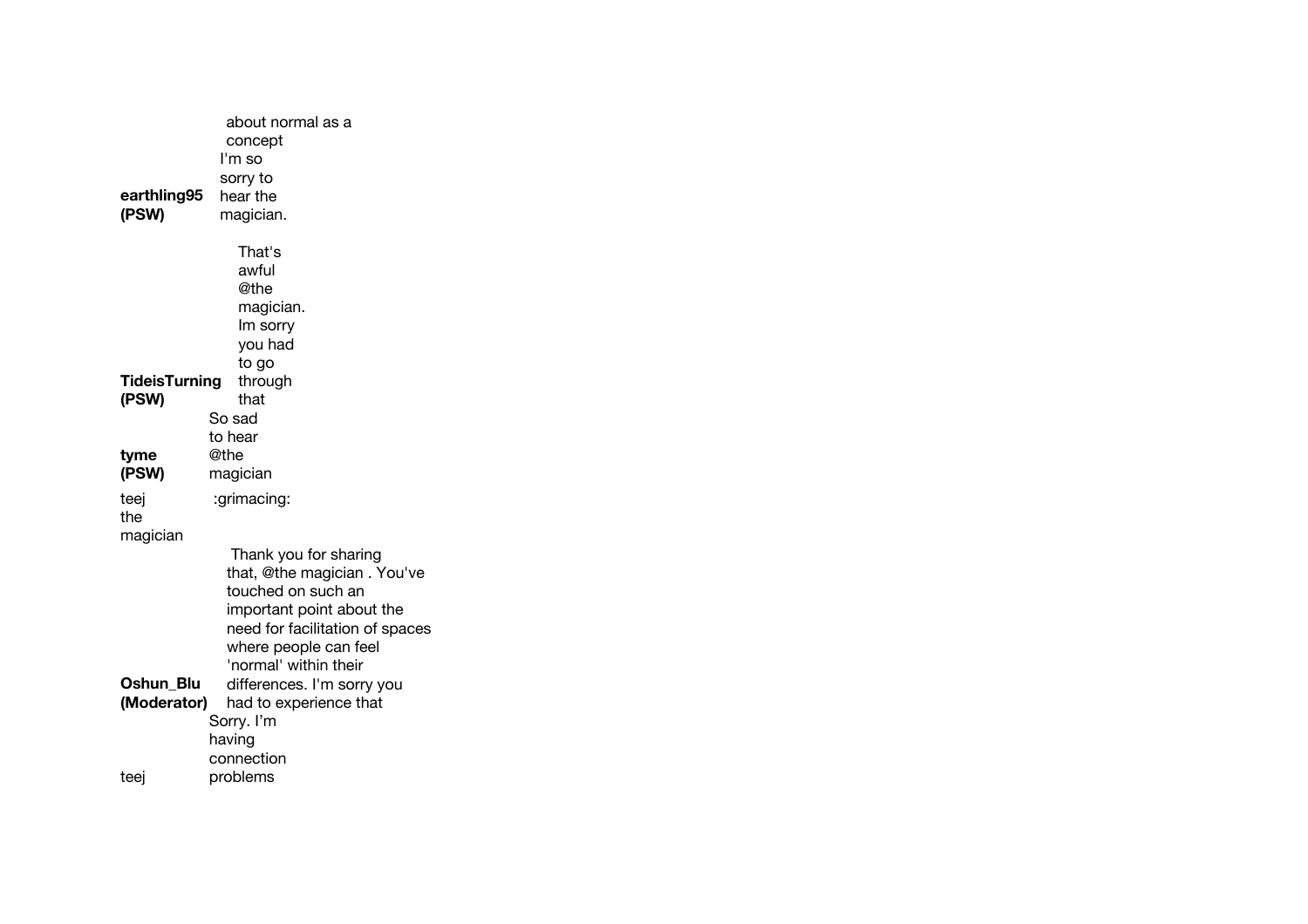|                      | about normal as a               |
|----------------------|---------------------------------|
|                      | concept                         |
|                      | I'm so                          |
|                      | sorry to                        |
| earthling95          | hear the                        |
| (PSW)                | magician.                       |
|                      |                                 |
|                      | That's                          |
|                      | awful                           |
|                      | @the                            |
|                      | magician.                       |
|                      | Im sorry                        |
|                      | you had                         |
|                      | to go                           |
| <b>TideisTurning</b> | through                         |
| (PSW)                | that                            |
|                      | So sad                          |
|                      | to hear                         |
| tyme                 | @the                            |
| (PSW)                | magician                        |
| teej                 | :grimacing:                     |
| the                  |                                 |
| magician             |                                 |
|                      | Thank you for sharing           |
|                      | that, @the magician. You've     |
|                      | touched on such an              |
|                      | important point about the       |
|                      | need for facilitation of spaces |
|                      | where people can feel           |
|                      | 'normal' within their           |
| Oshun_Blu            | differences. I'm sorry you      |
| (Moderator)          | had to experience that          |
|                      | Sorry. I'm                      |
|                      | having                          |
|                      | connection                      |
| teej                 | problems                        |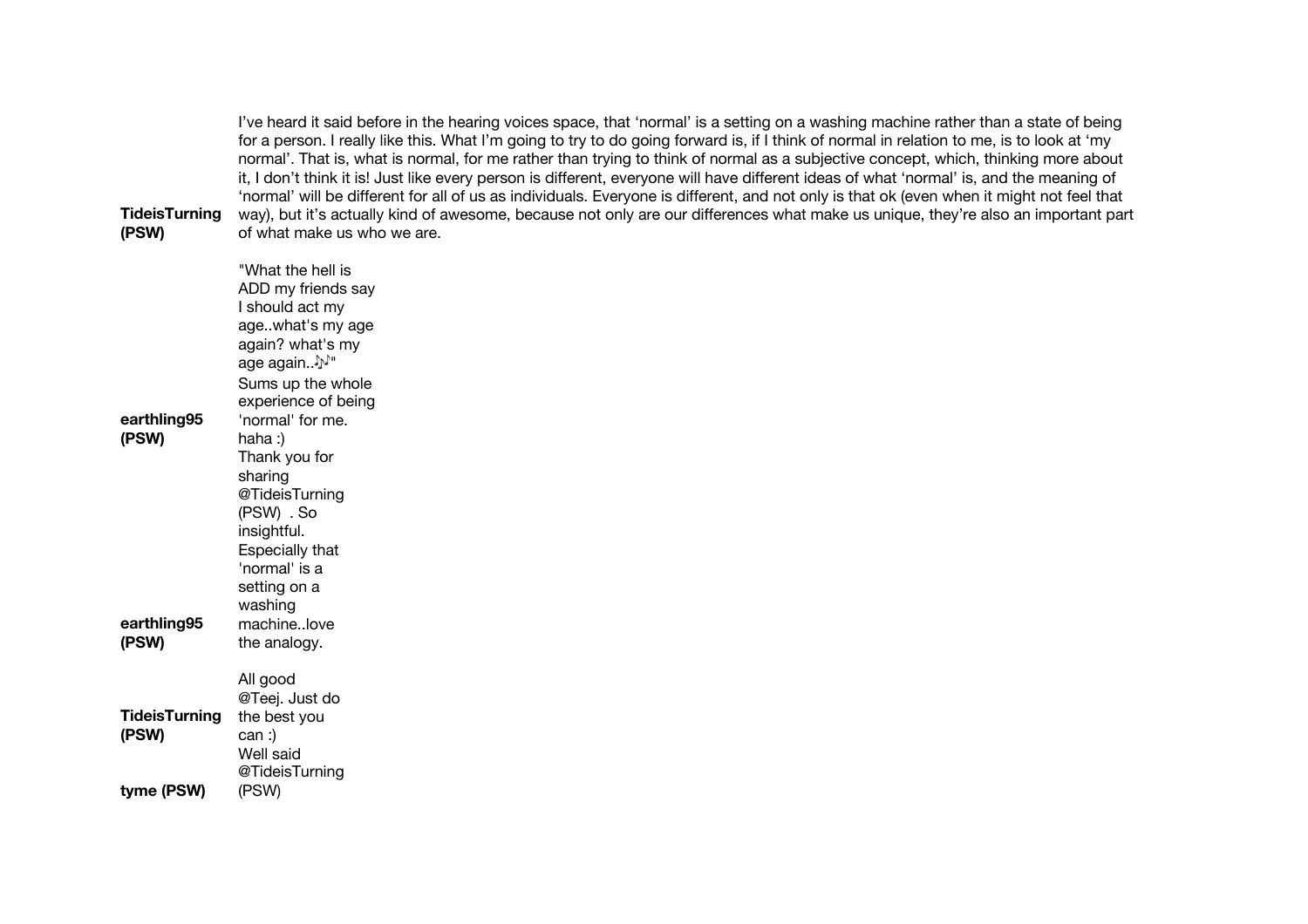I've heard it said before in the hearing voices space, that 'normal' is a setting on a washing machine rather than a state of being for a person. I really like this. What I'm going to try to do going forward is, if I think of normal in relation to me, is to look at 'my normal'. That is, what is normal, for me rather than trying to think of normal as a subjective concept, which, thinking more about it, I don't think it is! Just like every person is different, everyone will have different ideas of what 'normal' is, and the meaning of 'normal' will be different for all of us as individuals. Everyone is different, and not only is that ok (even when it might not feel that way), but it's actually kind of awesome, because not only are our differences what make us unique, they're also an important part of what make us who we are.

**TideisTurning (PSW)**

| "What the hell is   |
|---------------------|
| ADD my friends say  |
| I should act my     |
| agewhat's my age    |
| again? what's my    |
| age again♪♪"        |
| Sums up the whole   |
| experience of being |
| 'normal' for me.    |
| haha:)              |
| Thank you for       |
| sharing             |
| @TideisTurning      |
| (PSW) . So          |
| insightful.         |
| Especially that     |
| 'normal' is a       |
| setting on a        |
| washing             |
| machinelove         |
| the analogy.        |
|                     |
| All good            |
| @Teej. Just do      |
| the best you        |
|                     |
| can :)              |
| Well said           |
| @TideisTurning      |
|                     |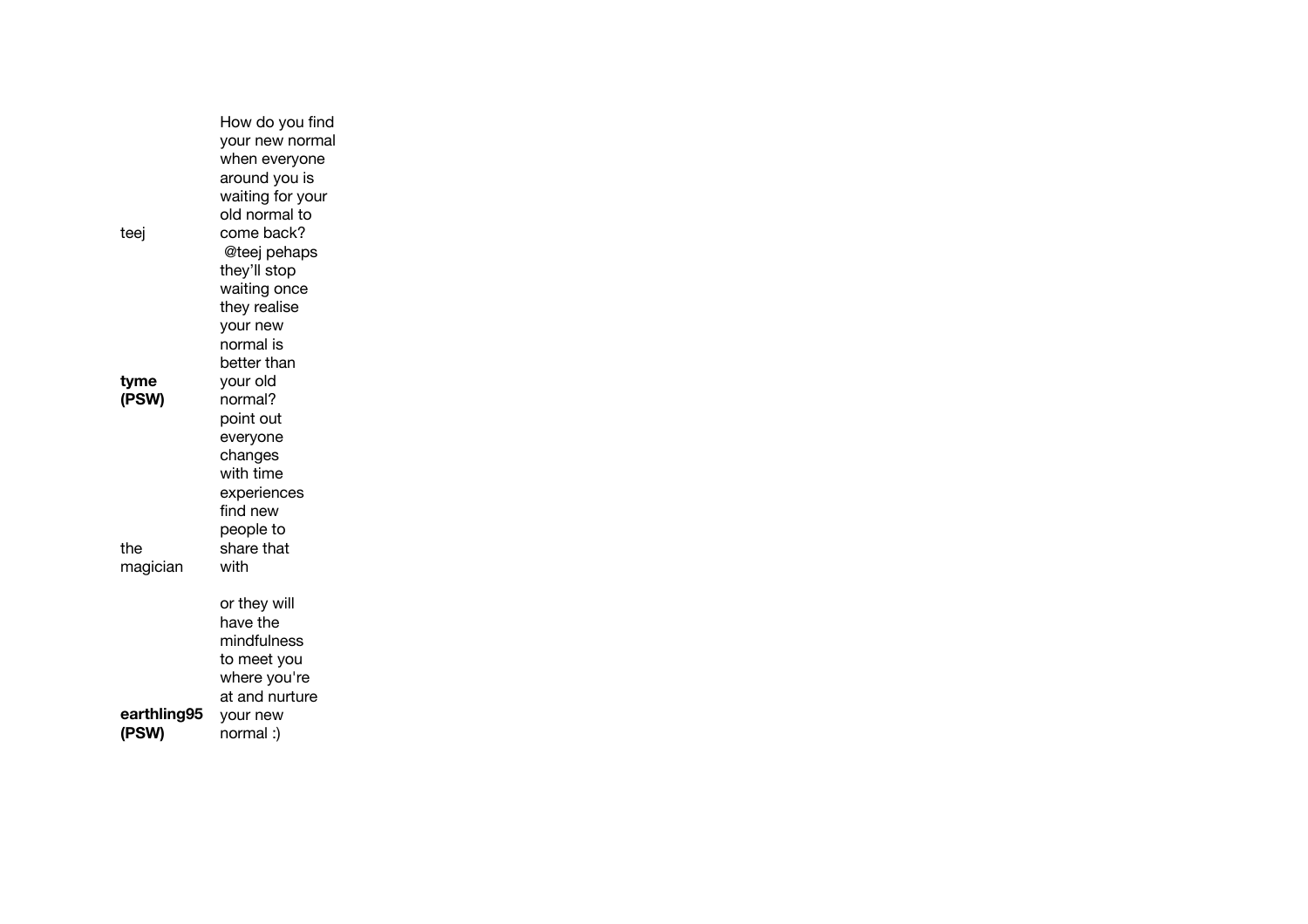|             | How do you find          |
|-------------|--------------------------|
|             | your new normal          |
|             | when everyone            |
|             | around you is            |
|             | waiting for your         |
|             | old normal to            |
| teej        | come back?               |
|             | @teej pehaps             |
|             | they'll stop             |
|             | waiting once             |
|             | they realise             |
|             | your new                 |
|             | normal is                |
|             | better than              |
| tyme        | your old                 |
| (PSW)       | normal?                  |
|             | point out                |
|             | everyone                 |
|             | changes                  |
|             | with time                |
|             | experiences              |
|             | find new                 |
|             | people to                |
| the         | share that               |
| magician    | with                     |
|             |                          |
|             | or they will<br>have the |
|             | mindfulness              |
|             | to meet you              |
|             | where you're             |
|             | at and nurture           |
| earthling95 | your new                 |
| (PSW)       | normal :)                |
|             |                          |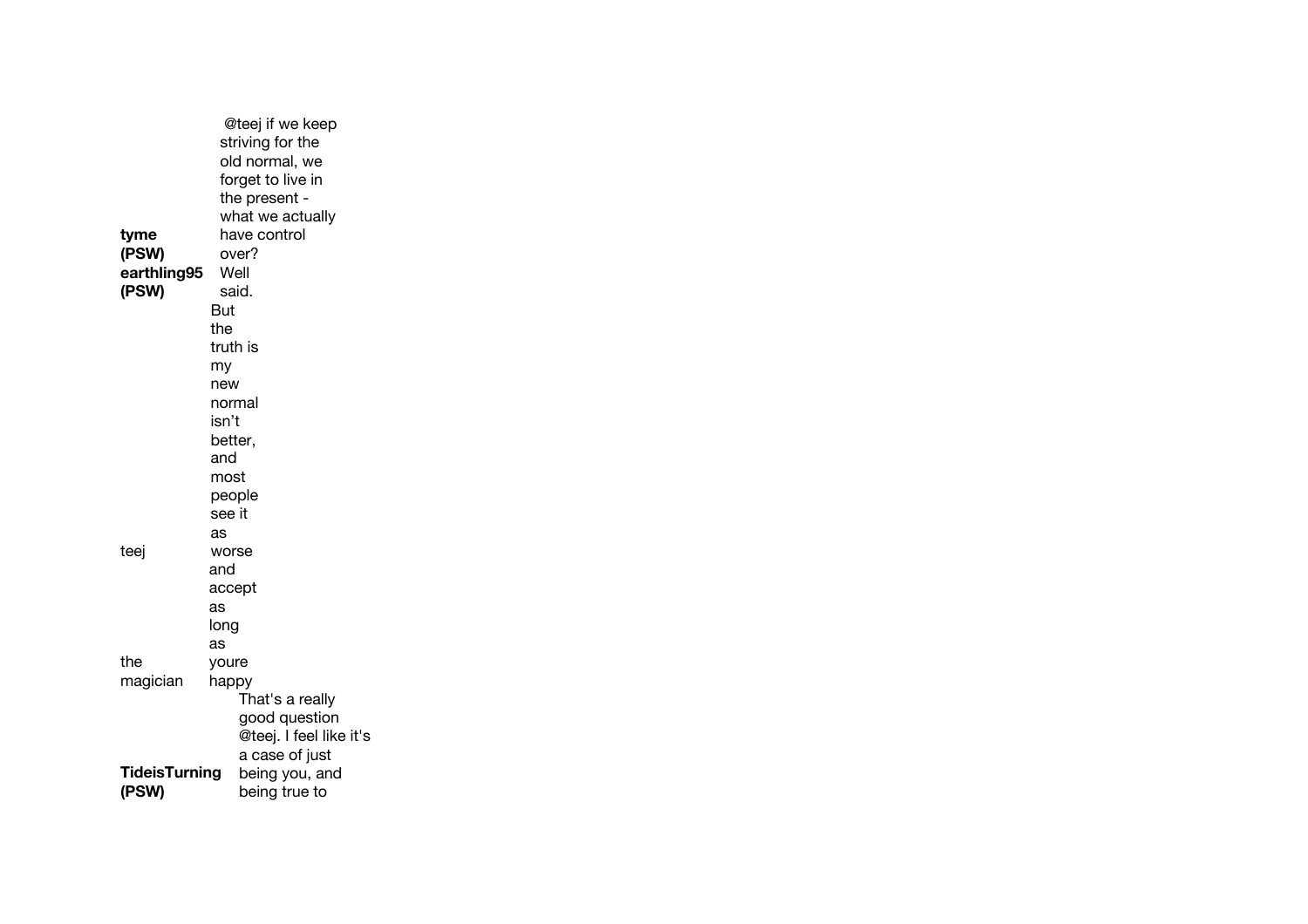| tyme<br>(PSW)<br>earthling95<br>(PSW) | @teej if we keep<br>striving for the<br>old normal, we<br>forget to live in<br>the present -<br>what we actually<br>have control<br>over?<br>Well<br>said.<br>But<br>the<br>truth is<br>my<br>new<br>normal<br>isn't<br>better,<br>and<br>most<br>people<br>see it |
|---------------------------------------|--------------------------------------------------------------------------------------------------------------------------------------------------------------------------------------------------------------------------------------------------------------------|
| teej                                  | as<br>worse<br>and<br>accept                                                                                                                                                                                                                                       |
|                                       | as<br>long<br>as                                                                                                                                                                                                                                                   |
| the                                   | youre                                                                                                                                                                                                                                                              |
| magician                              | happy                                                                                                                                                                                                                                                              |
|                                       | That's a really<br>good question<br>@teej. I feel like it's                                                                                                                                                                                                        |
|                                       | a case of just                                                                                                                                                                                                                                                     |
| <b>TideisTurning</b>                  | being you, and                                                                                                                                                                                                                                                     |
| (PSW)                                 | being true to                                                                                                                                                                                                                                                      |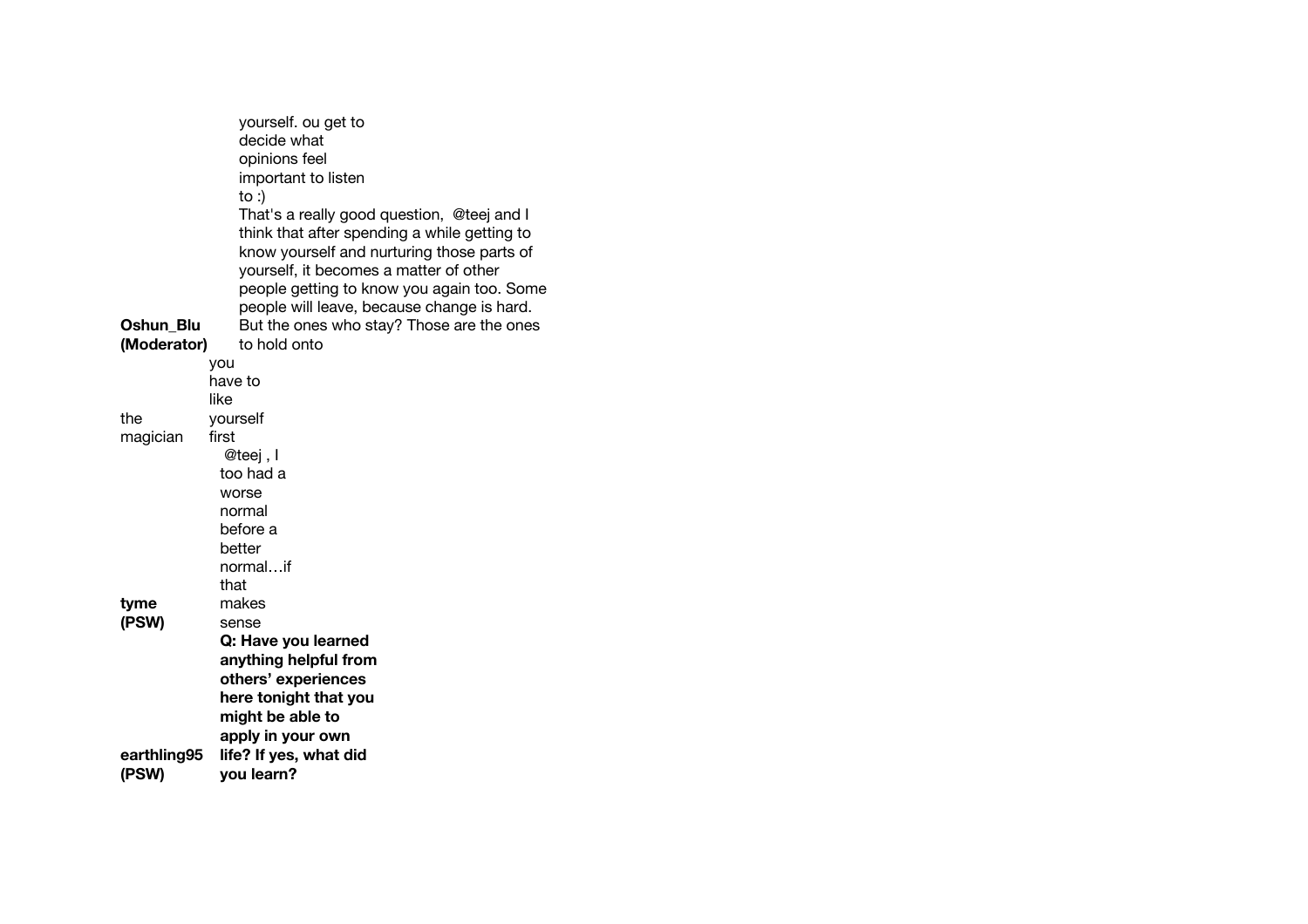|                  | yourself. ou get to<br>decide what<br>opinions feel<br>important to listen<br>to :)<br>That's a really good question, @teej and I<br>think that after spending a while getting to                                             |
|------------------|-------------------------------------------------------------------------------------------------------------------------------------------------------------------------------------------------------------------------------|
| <b>Oshun Blu</b> | know yourself and nurturing those parts of<br>yourself, it becomes a matter of other<br>people getting to know you again too. Some<br>people will leave, because change is hard.<br>But the ones who stay? Those are the ones |
| (Moderator)      | to hold onto                                                                                                                                                                                                                  |
|                  | you                                                                                                                                                                                                                           |
|                  | have to                                                                                                                                                                                                                       |
| the              | like<br>yourself                                                                                                                                                                                                              |
| magician         | first                                                                                                                                                                                                                         |
|                  | @teej , l                                                                                                                                                                                                                     |
|                  | too had a                                                                                                                                                                                                                     |
|                  | worse                                                                                                                                                                                                                         |
|                  | normal                                                                                                                                                                                                                        |
|                  | before a                                                                                                                                                                                                                      |
|                  | better                                                                                                                                                                                                                        |
|                  | normalif                                                                                                                                                                                                                      |
| that             |                                                                                                                                                                                                                               |
| tyme             | makes                                                                                                                                                                                                                         |
| (PSW)            | sense                                                                                                                                                                                                                         |
|                  | Q: Have you learned                                                                                                                                                                                                           |
|                  | anything helpful from                                                                                                                                                                                                         |
|                  | others' experiences                                                                                                                                                                                                           |
|                  | here tonight that you                                                                                                                                                                                                         |
|                  | might be able to                                                                                                                                                                                                              |
|                  | apply in your own                                                                                                                                                                                                             |
| earthling95      | life? If yes, what did                                                                                                                                                                                                        |
| (PSW)            | you learn?                                                                                                                                                                                                                    |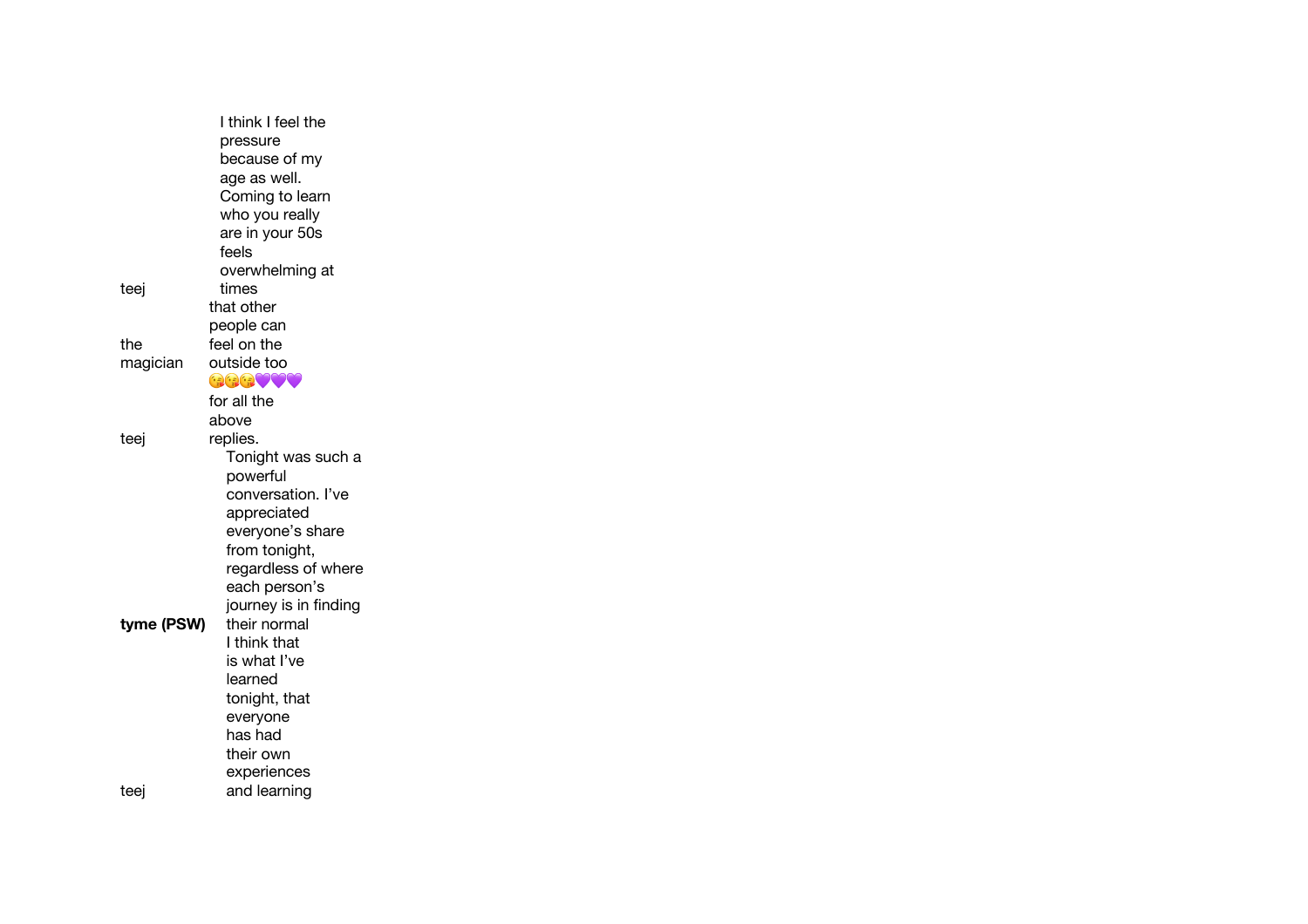teej I think I feel the pressure because of my age as well. Coming to learn who you really are in your 50s feels overwhelming at times magician that other people can feel on the outside too teej **GRAND CALL AND STATE** for all the above replies. **tyme (PSW)** Tonight was such a powerful conversation. I've appreciated everyone's share from tonight, regardless of where each person's journey is in finding their normal I think that is what I've learned tonight, that everyone has had their own experiences and learning

the

teej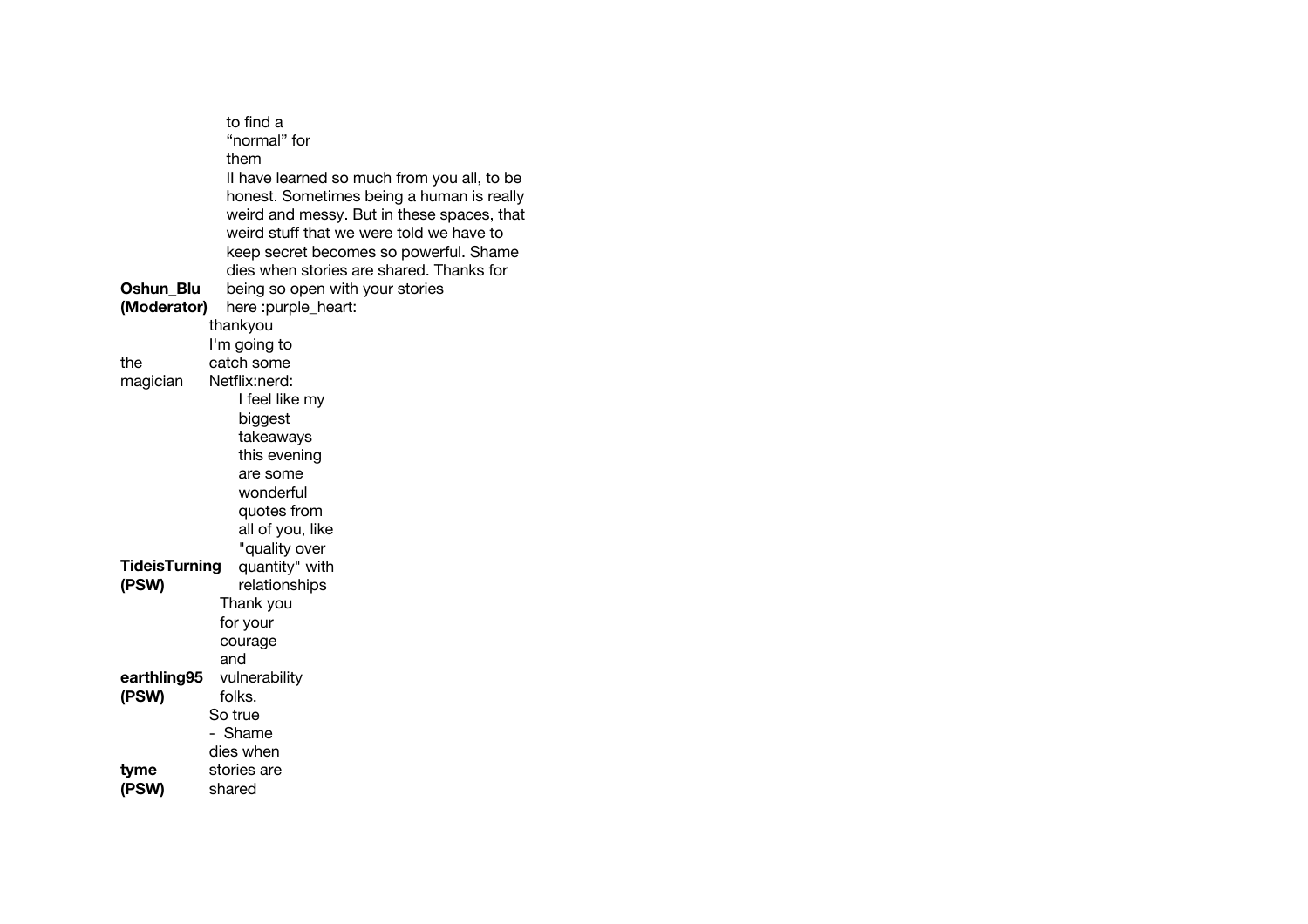|                      | to find a                                   |
|----------------------|---------------------------------------------|
|                      | "normal" for                                |
|                      | them                                        |
|                      | Il have learned so much from you all, to be |
|                      | honest. Sometimes being a human is really   |
|                      | weird and messy. But in these spaces, that  |
|                      | weird stuff that we were told we have to    |
|                      | keep secret becomes so powerful. Shame      |
|                      | dies when stories are shared. Thanks for    |
| Oshun_Blu            | being so open with your stories             |
| (Moderator)          | here: purple_heart:                         |
|                      | thankyou                                    |
|                      | I'm going to                                |
| the                  | catch some                                  |
| magician             | Netflix:nerd:                               |
|                      | I feel like my                              |
|                      | biggest                                     |
|                      | takeaways                                   |
|                      | this evening                                |
|                      | are some                                    |
|                      | wonderful                                   |
|                      | quotes from                                 |
|                      | all of you, like                            |
|                      | "quality over                               |
| <b>TideisTurning</b> | quantity" with                              |
| (PSW)                | relationships<br>Thank you                  |
|                      | for your                                    |
|                      | courage                                     |
|                      | and                                         |
| earthling95          | vulnerability                               |
| (PSW)                | folks.                                      |
|                      | So true                                     |
|                      | - Shame                                     |
|                      | dies when                                   |
| tyme                 | stories are                                 |
| (PSW)                | shared                                      |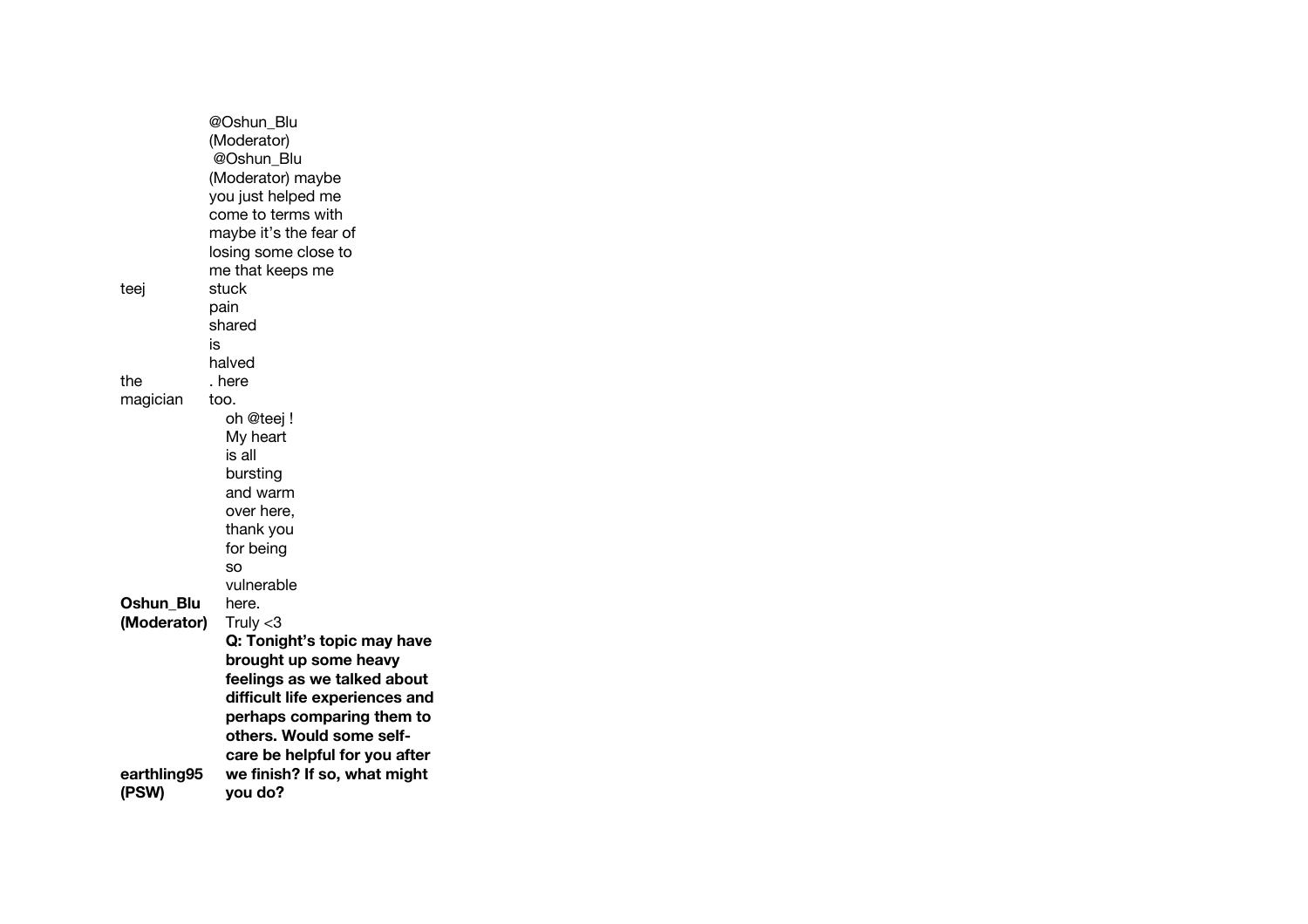|                      | @Oshun Blu<br>(Moderator)<br>@Oshun Blu<br>(Moderator) maybe<br>you just helped me                                       |
|----------------------|--------------------------------------------------------------------------------------------------------------------------|
|                      | come to terms with                                                                                                       |
|                      | maybe it's the fear of<br>losing some close to                                                                           |
|                      | me that keeps me                                                                                                         |
| teej                 | stuck                                                                                                                    |
|                      | pain                                                                                                                     |
|                      | shared                                                                                                                   |
|                      | is                                                                                                                       |
|                      | halved                                                                                                                   |
| the                  | . here                                                                                                                   |
| magician             | too.                                                                                                                     |
|                      | oh @teej!                                                                                                                |
|                      | My heart<br>is all                                                                                                       |
|                      | bursting                                                                                                                 |
|                      | and warm                                                                                                                 |
|                      | over here,                                                                                                               |
|                      | thank you                                                                                                                |
|                      | for being                                                                                                                |
|                      | SO                                                                                                                       |
|                      | vulnerable                                                                                                               |
| <b>Oshun Blu</b>     | here.                                                                                                                    |
| (Moderator)          | Truly $<$ 3                                                                                                              |
|                      | Q: Tonight's topic may have                                                                                              |
|                      | brought up some heavy                                                                                                    |
|                      | feelings as we talked about                                                                                              |
|                      | difficult life experiences and<br>perhaps comparing them to<br>others. Would some self-<br>care be helpful for you after |
| earthling95<br>(PSW) | we finish? If so, what might<br>you do?                                                                                  |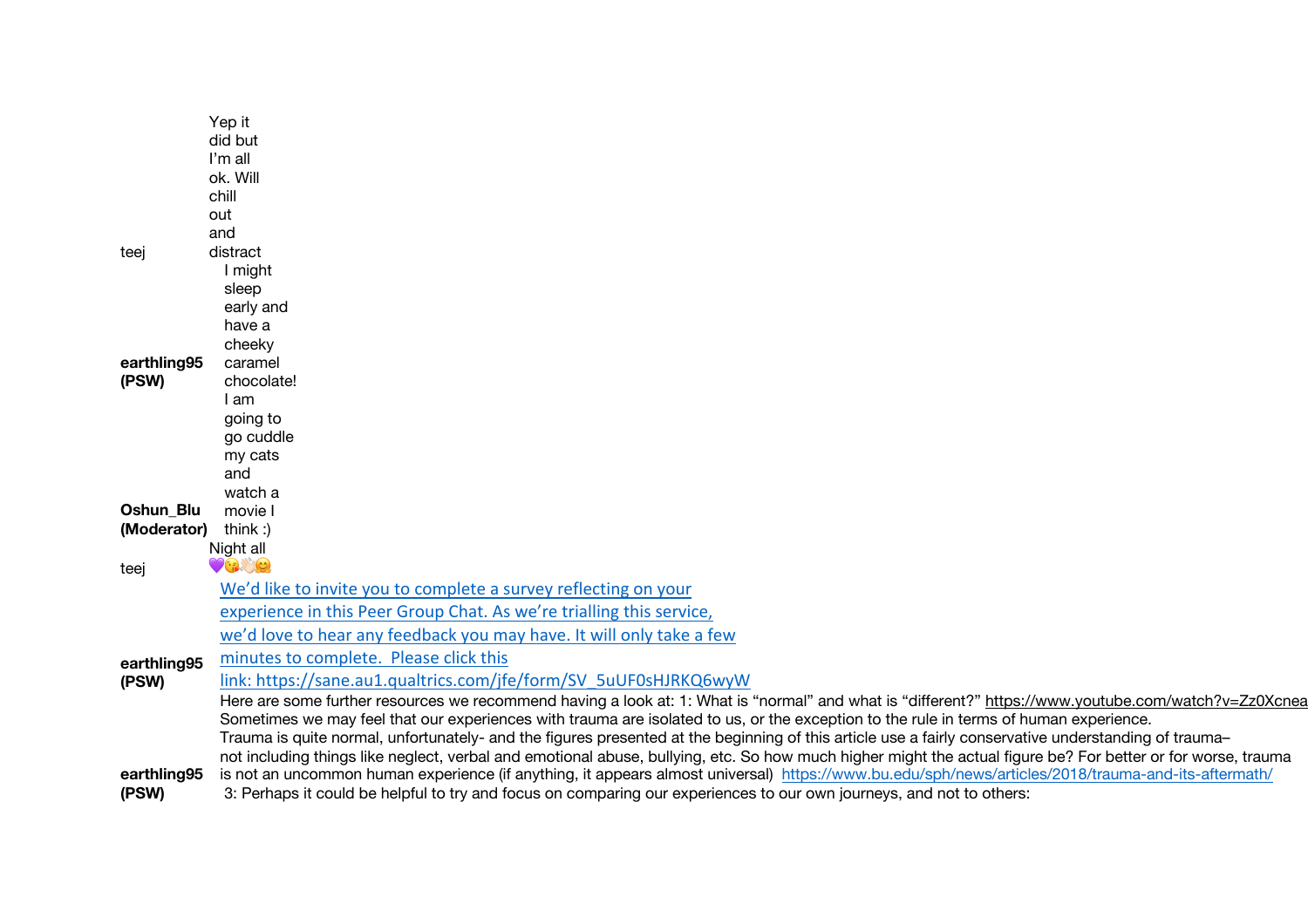|             | Yep it                                                                                                                                                       |
|-------------|--------------------------------------------------------------------------------------------------------------------------------------------------------------|
|             | did but                                                                                                                                                      |
|             | I'm all                                                                                                                                                      |
|             | ok. Will                                                                                                                                                     |
|             | chill                                                                                                                                                        |
|             | out                                                                                                                                                          |
|             | and                                                                                                                                                          |
| teei        | distract<br>I might                                                                                                                                          |
|             | sleep                                                                                                                                                        |
|             | early and                                                                                                                                                    |
|             | have a                                                                                                                                                       |
|             | cheeky                                                                                                                                                       |
| earthling95 | caramel                                                                                                                                                      |
| (PSW)       | chocolate!                                                                                                                                                   |
|             | I am                                                                                                                                                         |
|             | going to                                                                                                                                                     |
|             | go cuddle                                                                                                                                                    |
|             | my cats                                                                                                                                                      |
|             | and                                                                                                                                                          |
|             | watch a                                                                                                                                                      |
| Oshun Blu   | movie I                                                                                                                                                      |
| (Moderator) | think:)                                                                                                                                                      |
|             | Night all<br>$\blacktriangledown$ (a) $\blacktriangledown$ (c)                                                                                               |
| teei        |                                                                                                                                                              |
|             | We'd like to invite you to complete a survey reflecting on your                                                                                              |
|             | experience in this Peer Group Chat. As we're trialling this service,                                                                                         |
|             | we'd love to hear any feedback you may have. It will only take a few                                                                                         |
| earthling95 | minutes to complete. Please click this                                                                                                                       |
| (PSW)       | link: https://sane.au1.qualtrics.com/jfe/form/SV 5uUF0sHJRKQ6wyW                                                                                             |
|             | Here are some further resources we recommend having a look at: 1: What is "normal" and what is "different?" https://www.youtube.com/watch?v=Zz0Xcnea         |
|             | Sometimes we may feel that our experiences with trauma are isolated to us, or the exception to the rule in terms of human experience.                        |
|             | Trauma is quite normal, unfortunately- and the figures presented at the beginning of this article use a fairly conservative understanding of trauma-         |
|             | not including things like neglect, verbal and emotional abuse, bullying, etc. So how much higher might the actual figure be? For better or for worse, trauma |
| earthling95 | is not an uncommon human experience (if anything, it appears almost universal) https://www.bu.edu/sph/news/articles/2018/trauma-and-its-aftermath/           |
| (PSW)       | 3: Perhaps it could be helpful to try and focus on comparing our experiences to our own journeys, and not to others:                                         |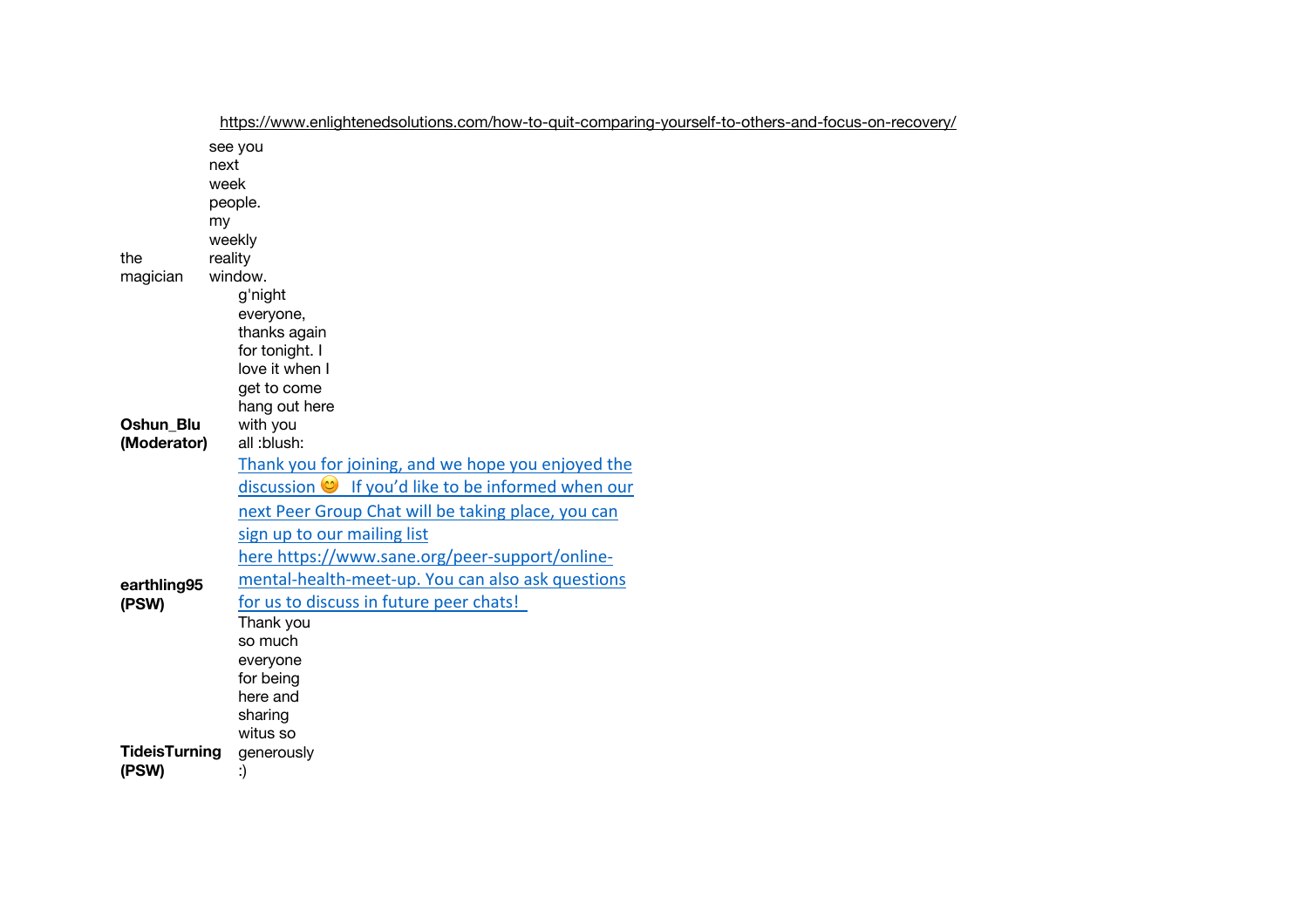|             |                      | see you                                                     |
|-------------|----------------------|-------------------------------------------------------------|
|             |                      | next                                                        |
|             |                      | week                                                        |
|             |                      | people.                                                     |
|             |                      | my                                                          |
|             |                      | weekly                                                      |
|             | the                  | reality                                                     |
|             | magician             | window.                                                     |
|             |                      | g'night                                                     |
|             |                      | everyone,                                                   |
|             |                      | thanks again                                                |
|             |                      | for tonight. I<br>love it when I                            |
|             |                      | get to come                                                 |
|             |                      | hang out here                                               |
|             | <b>Oshun Blu</b>     | with you                                                    |
| (Moderator) |                      | all :blush:                                                 |
|             |                      | Thank you for joining, and we hope you enjoyed the          |
|             |                      | discussion $\circ$<br>If you'd like to be informed when our |
|             |                      | next Peer Group Chat will be taking place, you can          |
|             |                      | sign up to our mailing list                                 |
|             |                      | here https://www.sane.org/peer-support/online-              |
|             | earthling95          | mental-health-meet-up. You can also ask questions           |
|             | (PSW)                | for us to discuss in future peer chats!                     |
|             |                      | Thank you                                                   |
|             |                      | so much                                                     |
|             |                      | everyone                                                    |
|             |                      | for being                                                   |
|             |                      | here and                                                    |
|             |                      | sharing                                                     |
|             |                      | witus so                                                    |
|             | <b>TideisTurning</b> | generously                                                  |
|             | (PSW)                | :)                                                          |

https://www.enlightenedsolutions.com/how-to-quit-comparing-yourself-to-others-and-focus-on-recovery/